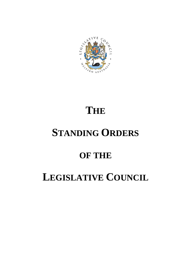

# **THE**

# **STANDING ORDERS**

# **OF THE**

# **LEGISLATIVE COUNCIL**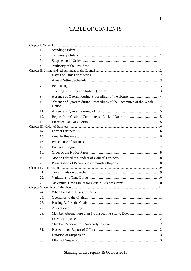# TABLE OF CONTENTS

| 1.               |                                                                    |  |
|------------------|--------------------------------------------------------------------|--|
| 2.               |                                                                    |  |
| 3.               |                                                                    |  |
| $\overline{4}$ . |                                                                    |  |
|                  |                                                                    |  |
| 5.               |                                                                    |  |
| 6.               |                                                                    |  |
| 7.               |                                                                    |  |
| 8.               |                                                                    |  |
| 9.               |                                                                    |  |
| 10.              | Absence of Quorum during Proceedings of the Committee of the Whole |  |
| 11.              |                                                                    |  |
| 12.              |                                                                    |  |
| 13.              |                                                                    |  |
|                  |                                                                    |  |
| 14.              |                                                                    |  |
| 15.              |                                                                    |  |
| 16.              |                                                                    |  |
| 17.              |                                                                    |  |
| 18.              |                                                                    |  |
| 19.              |                                                                    |  |
| 20.              |                                                                    |  |
|                  |                                                                    |  |
| 21.              |                                                                    |  |
| 22.              |                                                                    |  |
| 23.              |                                                                    |  |
|                  |                                                                    |  |
| 24.              |                                                                    |  |
| 25.              |                                                                    |  |
| 26.              |                                                                    |  |
| 27.              |                                                                    |  |
| 28.              |                                                                    |  |
| 29.              |                                                                    |  |
| 30.              |                                                                    |  |
| 31.              |                                                                    |  |
| 32.              |                                                                    |  |
| 33.              |                                                                    |  |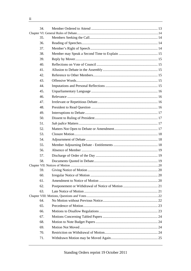| 34. |  |
|-----|--|
|     |  |
| 35. |  |
| 36. |  |
| 37. |  |
| 38. |  |
| 39. |  |
| 40. |  |
| 41. |  |
| 42. |  |
| 43. |  |
| 44. |  |
| 45. |  |
| 46. |  |
| 47. |  |
| 48. |  |
| 49. |  |
| 50. |  |
| 51. |  |
| 52. |  |
| 53. |  |
| 54. |  |
| 55. |  |
| 56. |  |
| 57. |  |
| 58. |  |
|     |  |
| 59. |  |
| 60. |  |
| 61. |  |
| 62. |  |
| 63. |  |
|     |  |
| 64. |  |
| 65. |  |
| 66. |  |
| 67. |  |
| 68. |  |
| 69. |  |
| 70. |  |
| 71. |  |
|     |  |

 $\rm ii$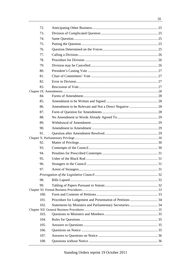| 72.  |                                                          |  |
|------|----------------------------------------------------------|--|
| 73.  |                                                          |  |
| 74.  |                                                          |  |
| 75.  |                                                          |  |
| 76.  |                                                          |  |
| 77.  |                                                          |  |
| 78.  |                                                          |  |
| 79.  |                                                          |  |
| 80.  |                                                          |  |
| 81.  |                                                          |  |
| 82.  |                                                          |  |
| 83.  |                                                          |  |
|      |                                                          |  |
| 84.  |                                                          |  |
| 85.  |                                                          |  |
| 86.  |                                                          |  |
| 87.  |                                                          |  |
| 88.  |                                                          |  |
| 89.  |                                                          |  |
| 90.  |                                                          |  |
| 91.  |                                                          |  |
|      |                                                          |  |
| 92.  |                                                          |  |
| 93.  |                                                          |  |
| 94.  |                                                          |  |
| 95.  |                                                          |  |
| 96.  |                                                          |  |
| 97.  |                                                          |  |
|      |                                                          |  |
| 98.  |                                                          |  |
| 99.  |                                                          |  |
|      |                                                          |  |
| 100. |                                                          |  |
| 101. |                                                          |  |
| 102. | Statements by Ministers and Parliamentary Secretaries 34 |  |
|      |                                                          |  |
| 103. |                                                          |  |
| 104. |                                                          |  |
| 105. |                                                          |  |
| 106. |                                                          |  |
| 107. |                                                          |  |
| 108. |                                                          |  |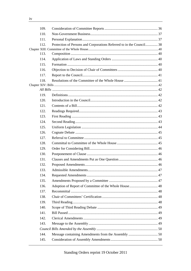| 109. |                                                                      |  |
|------|----------------------------------------------------------------------|--|
| 110. |                                                                      |  |
| 111. |                                                                      |  |
| 112. | Protection of Persons and Corporations Referred to in the Council 38 |  |
|      |                                                                      |  |
| 113. |                                                                      |  |
| 114  |                                                                      |  |
| 115. |                                                                      |  |
| 116. |                                                                      |  |
| 117. |                                                                      |  |
| 118. |                                                                      |  |
|      |                                                                      |  |
|      |                                                                      |  |
| 119. |                                                                      |  |
| 120. |                                                                      |  |
| 121. |                                                                      |  |
| 122. |                                                                      |  |
| 123. |                                                                      |  |
| 124. |                                                                      |  |
| 125. |                                                                      |  |
| 126. |                                                                      |  |
| 127. |                                                                      |  |
| 128. |                                                                      |  |
| 129. |                                                                      |  |
| 130. |                                                                      |  |
| 131. |                                                                      |  |
| 132. |                                                                      |  |
| 133. |                                                                      |  |
| 134. |                                                                      |  |
| 135. |                                                                      |  |
| 136. |                                                                      |  |
| 137. |                                                                      |  |
| 138. |                                                                      |  |
| 139. |                                                                      |  |
| 140. |                                                                      |  |
| 141. |                                                                      |  |
| 142. |                                                                      |  |
| 143. |                                                                      |  |
|      |                                                                      |  |
| 144. |                                                                      |  |
| 145. |                                                                      |  |
|      |                                                                      |  |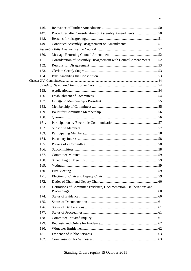| 146. |                                                                     |  |
|------|---------------------------------------------------------------------|--|
| 147. |                                                                     |  |
| 148. |                                                                     |  |
| 149. |                                                                     |  |
|      |                                                                     |  |
| 150. |                                                                     |  |
| 151. | Consideration of Assembly Disagreement with Council Amendments  52  |  |
| 152. |                                                                     |  |
| 153. |                                                                     |  |
| 154. |                                                                     |  |
|      |                                                                     |  |
|      |                                                                     |  |
| 155. |                                                                     |  |
| 156. |                                                                     |  |
| 157. |                                                                     |  |
| 158. |                                                                     |  |
| 159. |                                                                     |  |
| 160. |                                                                     |  |
| 161. |                                                                     |  |
| 162. |                                                                     |  |
| 163. |                                                                     |  |
| 164. |                                                                     |  |
| 165. |                                                                     |  |
| 166. |                                                                     |  |
| 167. |                                                                     |  |
| 168. |                                                                     |  |
| 169. |                                                                     |  |
| 170. |                                                                     |  |
| 171. |                                                                     |  |
| 172. |                                                                     |  |
| 173. | Definitions of Committee Evidence, Documentation, Deliberations and |  |
| 174  |                                                                     |  |
| 175. |                                                                     |  |
| 176. |                                                                     |  |
| 177. |                                                                     |  |
| 178. |                                                                     |  |
| 179. |                                                                     |  |
| 180. |                                                                     |  |
| 181. |                                                                     |  |
| 182. |                                                                     |  |
|      |                                                                     |  |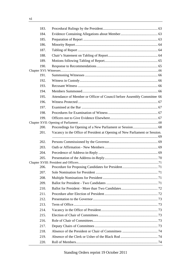| 183. |                                                                             |  |
|------|-----------------------------------------------------------------------------|--|
| 184. |                                                                             |  |
| 185. |                                                                             |  |
| 186. |                                                                             |  |
| 187. |                                                                             |  |
| 188. |                                                                             |  |
| 189. |                                                                             |  |
| 190. |                                                                             |  |
|      |                                                                             |  |
| 191. |                                                                             |  |
| 192. |                                                                             |  |
| 193. |                                                                             |  |
| 194. |                                                                             |  |
| 195. | Attendance of Member or Officer of Council before Assembly Committee 66     |  |
| 196. |                                                                             |  |
| 197. |                                                                             |  |
| 198. |                                                                             |  |
| 199. |                                                                             |  |
|      |                                                                             |  |
| 200. |                                                                             |  |
| 201. | Vacancy in the Office of President at Opening of New Parliament or Session. |  |
| 202. |                                                                             |  |
| 203. |                                                                             |  |
| 204. |                                                                             |  |
| 205. |                                                                             |  |
|      |                                                                             |  |
| 206. |                                                                             |  |
| 207. |                                                                             |  |
| 208. |                                                                             |  |
| 209. |                                                                             |  |
| 210. |                                                                             |  |
| 211. |                                                                             |  |
| 212. |                                                                             |  |
| 213. |                                                                             |  |
| 214. |                                                                             |  |
| 215. |                                                                             |  |
| 216. |                                                                             |  |
| 217. |                                                                             |  |
| 218. |                                                                             |  |
| 219. |                                                                             |  |
| 220. |                                                                             |  |
|      |                                                                             |  |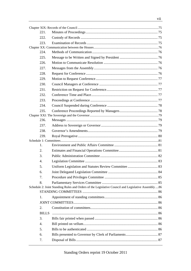| 221.             |                                                                                                     |  |
|------------------|-----------------------------------------------------------------------------------------------------|--|
| 222.             |                                                                                                     |  |
| 223.             |                                                                                                     |  |
|                  |                                                                                                     |  |
| 224.             |                                                                                                     |  |
| 225.             |                                                                                                     |  |
| 226.             |                                                                                                     |  |
| 227.             |                                                                                                     |  |
| 228.             |                                                                                                     |  |
| 229.             |                                                                                                     |  |
| 230.             |                                                                                                     |  |
| 231.             |                                                                                                     |  |
| 232.             |                                                                                                     |  |
| 233.             |                                                                                                     |  |
| 234.             |                                                                                                     |  |
| 235.             |                                                                                                     |  |
|                  |                                                                                                     |  |
| 236.             |                                                                                                     |  |
| 237.             |                                                                                                     |  |
| 238.             |                                                                                                     |  |
| 239.             |                                                                                                     |  |
|                  |                                                                                                     |  |
| 1.               |                                                                                                     |  |
| 2.               |                                                                                                     |  |
| 3.               |                                                                                                     |  |
| $\overline{4}$ . |                                                                                                     |  |
| 5.               |                                                                                                     |  |
| 6.               |                                                                                                     |  |
| 7.               |                                                                                                     |  |
| 8.               |                                                                                                     |  |
|                  | Schedule 2: Joint Standing Rules and Orders of the Legislative Council and Legislative Assembly  86 |  |
|                  |                                                                                                     |  |
| 1.               |                                                                                                     |  |
|                  |                                                                                                     |  |
| 2.               |                                                                                                     |  |
|                  | <b>BILLS</b>                                                                                        |  |
| 3.               |                                                                                                     |  |
| 4.               |                                                                                                     |  |
| 5.               |                                                                                                     |  |
| 6.               |                                                                                                     |  |
| 7.               |                                                                                                     |  |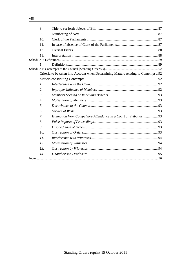| 8.               |                                                                                     |  |
|------------------|-------------------------------------------------------------------------------------|--|
| 9.               |                                                                                     |  |
| 10.              |                                                                                     |  |
| 11.              |                                                                                     |  |
| 12.              |                                                                                     |  |
| 13.              |                                                                                     |  |
|                  |                                                                                     |  |
| $\mathbf{1}$ .   |                                                                                     |  |
|                  |                                                                                     |  |
|                  | Criteria to be taken into Account when Determining Matters relating to Contempt  92 |  |
|                  |                                                                                     |  |
| $\mathfrak{1}.$  |                                                                                     |  |
| 2.               |                                                                                     |  |
| $\mathfrak{Z}$ . |                                                                                     |  |
| $\overline{4}$ . |                                                                                     |  |
| 5.               |                                                                                     |  |
| 6.               |                                                                                     |  |
| 7.               | Exemption from Compulsory Attendance in a Court or Tribunal  93                     |  |
| 8.               |                                                                                     |  |
| 9.               |                                                                                     |  |
| 10.              |                                                                                     |  |
| 11.              |                                                                                     |  |
| 12.              |                                                                                     |  |
| 13.              |                                                                                     |  |
| 14.              |                                                                                     |  |
|                  |                                                                                     |  |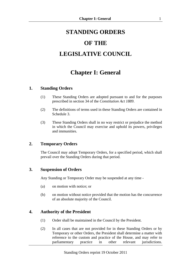# **STANDING ORDERS**

# **OF THE**

# **LEGISLATIVE COUNCIL**

# **Chapter I: General**

### **1. Standing Orders**

- (1) These Standing Orders are adopted pursuant to and for the purposes prescribed in section 34 of the *Constitution Act 1889*.
- (2) The definitions of terms used in these Standing Orders are contained in Schedule 3.
- (3) These Standing Orders shall in no way restrict or prejudice the method in which the Council may exercise and uphold its powers, privileges and immunities.

## **2. Temporary Orders**

The Council may adopt Temporary Orders, for a specified period, which shall prevail over the Standing Orders during that period.

## **3. Suspension of Orders**

Any Standing or Temporary Order may be suspended at any time -

- (a) on motion with notice; or
- (b) on motion without notice provided that the motion has the concurrence of an absolute majority of the Council.

## **4. Authority of the President**

- (1) Order shall be maintained in the Council by the President.
- (2) In all cases that are not provided for in these Standing Orders or by Temporary or other Orders, the President shall determine a matter with reference to the custom and practice of the House, and may refer to parliamentary practice in other relevant jurisdictions.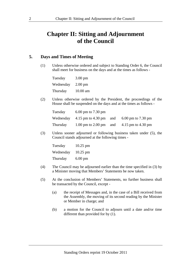# **Chapter II: Sitting and Adjournment of the Council**

#### **5. Days and Times of Meeting**

(1) Unless otherwise ordered and subject to Standing Order 6, the Council shall meet for business on the days and at the times as follows -

Tuesday 3.00 pm Wednesday 2.00 pm Thursday 10.00 am

(2) Unless otherwise ordered by the President, the proceedings of the House shall be suspended on the days and at the times as follows -

| Tuesday  | $6.00$ pm to $7.30$ pm                                                                      |                                           |
|----------|---------------------------------------------------------------------------------------------|-------------------------------------------|
|          | Wednesday $4.15 \text{ pm}$ to $4.30 \text{ pm}$ and $6.00 \text{ pm}$ to $7.30 \text{ pm}$ |                                           |
| Thursday |                                                                                             | 1.00 pm to 2.00 pm and 4.15 pm to 4.30 pm |

(3) Unless sooner adjourned or following business taken under (5), the Council stands adjourned at the following times -

| Tuesday   | $10.25$ pm        |
|-----------|-------------------|
| Wednesday | $10.25$ pm        |
| Thursday  | $6.00 \text{ pm}$ |

- (4) The Council may be adjourned earlier than the time specified in (3) by a Minister moving that Members' Statements be now taken.
- (5) At the conclusion of Members' Statements, no further business shall be transacted by the Council, except -
	- (a) the receipt of Messages and, in the case of a Bill received from the Assembly, the moving of its second reading by the Minister or Member in charge; and
	- (b) a motion for the Council to adjourn until a date and/or time different than provided for by (1).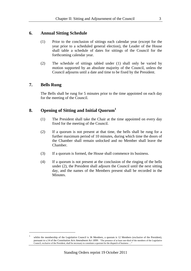#### **6. Annual Sitting Schedule**

- (1) Prior to the conclusion of sittings each calendar year (except for the year prior to a scheduled general election), the Leader of the House shall table a schedule of dates for sittings of the Council for the forthcoming calendar year.
- (2) The schedule of sittings tabled under (1) shall only be varied by motion supported by an absolute majority of the Council, unless the Council adjourns until a date and time to be fixed by the President.

#### **7. Bells Rung**

1

The Bells shall be rung for 5 minutes prior to the time appointed on each day for the meeting of the Council.

### **8. Opening of Sitting and Initial Quorum<sup>1</sup>**

- (1) The President shall take the Chair at the time appointed on every day fixed for the meeting of the Council.
- (2) If a quorum is not present at that time, the bells shall be rung for a further maximum period of 10 minutes, during which time the doors of the Chamber shall remain unlocked and no Member shall leave the Chamber.
- (3) If a quorum is formed, the House shall commence its business.
- (4) If a quorum is not present at the conclusion of the ringing of the bells under (2), the President shall adjourn the Council until the next sitting day, and the names of the Members present shall be recorded in the Minutes.

<sup>&</sup>lt;sup>1</sup> whilst the membership of the Legislative Council is 36 Members, a quorum is 12 Members (exclusive of the President), pursuant to s.14 of the *Constitution Acts Amendment Act 1899*: "The presence of at least one-third of the members of the Legislative Council, exclusive of the President, shall be necessary to constitute a quorum for the dispatch of business …"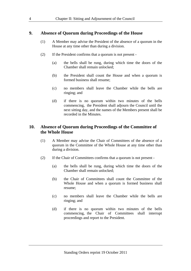#### **9. Absence of Quorum during Proceedings of the House**

- (1) A Member may advise the President of the absence of a quorum in the House at any time other than during a division.
- (2) If the President confirms that a quorum is not present
	- (a) the bells shall be rung, during which time the doors of the Chamber shall remain unlocked;
	- (b) the President shall count the House and when a quorum is formed business shall resume;
	- (c) no members shall leave the Chamber while the bells are ringing; and
	- (d) if there is no quorum within two minutes of the bells commencing, the President shall adjourn the Council until the next sitting day, and the names of the Members present shall be recorded in the Minutes.

### **10. Absence of Quorum during Proceedings of the Committee of the Whole House**

- (1) A Member may advise the Chair of Committees of the absence of a quorum in the Committee of the Whole House at any time other than during a division.
- (2) If the Chair of Committees confirms that a quorum is not present
	- (a) the bells shall be rung, during which time the doors of the Chamber shall remain unlocked;
	- (b) the Chair of Committees shall count the Committee of the Whole House and when a quorum is formed business shall resume;
	- (c) no members shall leave the Chamber while the bells are ringing; and
	- (d) if there is no quorum within two minutes of the bells commencing, the Chair of Committees shall interrupt proceedings and report to the President.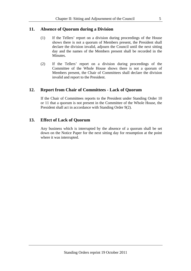### **11. Absence of Quorum during a Division**

- (1) If the Tellers' report on a division during proceedings of the House shows there is not a quorum of Members present, the President shall declare the division invalid, adjourn the Council until the next sitting day and the names of the Members present shall be recorded in the Minutes.
- (2) If the Tellers' report on a division during proceedings of the Committee of the Whole House shows there is not a quorum of Members present, the Chair of Committees shall declare the division invalid and report to the President.

### **12. Report from Chair of Committees - Lack of Quorum**

If the Chair of Committees reports to the President under Standing Order 10 or 11 that a quorum is not present in the Committee of the Whole House, the President shall act in accordance with Standing Order 9(2).

### **13. Effect of Lack of Quorum**

Any business which is interrupted by the absence of a quorum shall be set down on the Notice Paper for the next sitting day for resumption at the point where it was interrupted.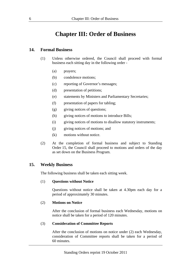# **Chapter III: Order of Business**

#### **14. Formal Business**

- (1) Unless otherwise ordered, the Council shall proceed with formal business each sitting day in the following order -
	- (a) prayers;
	- (b) condolence motions;
	- (c) reporting of Governor's messages;
	- (d) presentation of petitions;
	- (e) statements by Ministers and Parliamentary Secretaries;
	- (f) presentation of papers for tabling;
	- (g) giving notices of questions;
	- (h) giving notices of motions to introduce Bills;
	- (i) giving notices of motions to disallow statutory instruments;
	- (j) giving notices of motions; and
	- (k) motions without notice.
- (2) At the completion of formal business and subject to Standing Order 15, the Council shall proceed to motions and orders of the day as set down on the Business Program.

#### **15. Weekly Business**

The following business shall be taken each sitting week.

#### (1) **Questions without Notice**

Questions without notice shall be taken at 4.30pm each day for a period of approximately 30 minutes.

#### (2) **Motions on Notice**

After the conclusion of formal business each Wednesday, motions on notice shall be taken for a period of 120 minutes.

#### (3) **Consideration of Committee Reports**

After the conclusion of motions on notice under (2) each Wednesday, consideration of Committee reports shall be taken for a period of 60 minutes.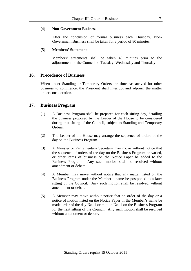#### (4) **Non-Government Business**

After the conclusion of formal business each Thursday, Non-Government Business shall be taken for a period of 80 minutes.

#### (5) **Members' Statements**

Members' statements shall be taken 40 minutes prior to the adjournment of the Council on Tuesday, Wednesday and Thursday.

#### **16. Precedence of Business**

When under Standing or Temporary Orders the time has arrived for other business to commence, the President shall interrupt and adjourn the matter under consideration.

#### **17. Business Program**

- (1) A Business Program shall be prepared for each sitting day, detailing the business proposed by the Leader of the House to be considered during that sitting of the Council, subject to Standing and Temporary Orders.
- (2) The Leader of the House may arrange the sequence of orders of the day on the Business Program.
- (3) A Minister or Parliamentary Secretary may move without notice that the sequence of orders of the day on the Business Program be varied, or other items of business on the Notice Paper be added to the Business Program. Any such motion shall be resolved without amendment or debate.
- (4) A Member may move without notice that any matter listed on the Business Program under the Member's name be postponed to a later sitting of the Council. Any such motion shall be resolved without amendment or debate.
- (5) A Member may move without notice that an order of the day or a notice of motion listed on the Notice Paper in the Member's name be made order of the day No. 1 or motion No. 1 on the Business Program for the next sitting of the Council. Any such motion shall be resolved without amendment or debate.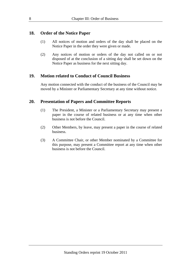#### **18. Order of the Notice Paper**

- (1) All notices of motion and orders of the day shall be placed on the Notice Paper in the order they were given or made.
- (2) Any notices of motion or orders of the day not called on or not disposed of at the conclusion of a sitting day shall be set down on the Notice Paper as business for the next sitting day.

#### **19. Motion related to Conduct of Council Business**

Any motion connected with the conduct of the business of the Council may be moved by a Minister or Parliamentary Secretary at any time without notice.

#### **20. Presentation of Papers and Committee Reports**

- (1) The President, a Minister or a Parliamentary Secretary may present a paper in the course of related business or at any time when other business is not before the Council.
- (2) Other Members, by leave, may present a paper in the course of related business.
- (3) A Committee Chair, or other Member nominated by a Committee for this purpose, may present a Committee report at any time when other business is not before the Council.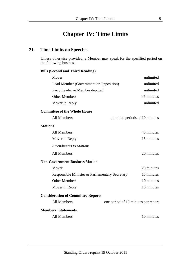# **Chapter IV: Time Limits**

# **21. Time Limits on Speeches**

Unless otherwise provided, a Member may speak for the specified period on the following business -

#### **Bills (Second and Third Reading)**

| Mover                                                  | unlimited                           |
|--------------------------------------------------------|-------------------------------------|
| Lead Member (Government or Opposition)                 | unlimited                           |
| Party Leader or Member deputed                         | unlimited                           |
| <b>Other Members</b>                                   | 45 minutes                          |
| Mover in Reply                                         | unlimited                           |
| <b>Committee of the Whole House</b>                    |                                     |
| <b>All Members</b>                                     | unlimited periods of 10 minutes     |
| <b>Motions</b>                                         |                                     |
| <b>All Members</b>                                     | 45 minutes                          |
| Mover in Reply                                         | 15 minutes                          |
| <b>Amendments to Motions</b>                           |                                     |
| All Members                                            | 20 minutes                          |
| <b>Non-Government Business Motion</b>                  |                                     |
| Mover                                                  | 20 minutes                          |
| <b>Responsible Minister or Parliamentary Secretary</b> | 15 minutes                          |
| <b>Other Members</b>                                   | 10 minutes                          |
| Mover in Reply                                         | 10 minutes                          |
| <b>Consideration of Committee Reports</b>              |                                     |
| <b>All Members</b>                                     | one period of 10 minutes per report |

#### **Members' Statements**

All Members 10 minutes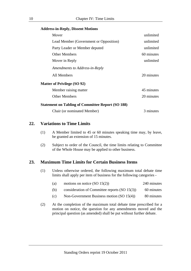#### **Address-in-Reply, Dissent Motions**

| Mover                                                    | unlimited  |
|----------------------------------------------------------|------------|
| Lead Member (Government or Opposition)                   | unlimited  |
| Party Leader or Member deputed                           | unlimited  |
| <b>Other Members</b>                                     | 60 minutes |
| Mover in Reply                                           | unlimited  |
| Amendments to Address-in-Reply                           |            |
| All Members                                              | 20 minutes |
| <b>Matter of Privilege (SO 92)</b>                       |            |
| Member raising matter                                    | 45 minutes |
| <b>Other Members</b>                                     | 20 minutes |
| <b>Statement on Tabling of Committee Report (SO 188)</b> |            |
| Chair (or nominated Member)                              | 3 minutes  |

#### **22. Variations to Time Limits**

- (1) A Member limited to 45 or 60 minutes speaking time may, by leave, be granted an extension of 15 minutes.
- (2) Subject to order of the Council, the time limits relating to Committee of the Whole House may be applied to other business.

#### **23. Maximum Time Limits for Certain Business Items**

(1) Unless otherwise ordered, the following maximum total debate time limits shall apply per item of business for the following categories -

| (a) | motions on notice $(SO 15(2))$                  | 240 minutes |
|-----|-------------------------------------------------|-------------|
| (b) | consideration of Committee reports $(SO 15(3))$ | 60 minutes  |

- 
- (c) Non-Government Business motion  $(SO 15(4))$  80 minutes
- (2) At the completion of the maximum total debate time prescribed for a motion on notice, the question for any amendments moved and the principal question (as amended) shall be put without further debate.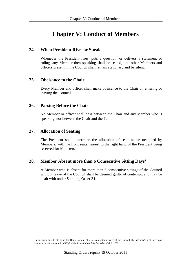# **Chapter V: Conduct of Members**

### **24. When President Rises or Speaks**

Whenever the President rises, puts a question, or delivers a statement or ruling, any Member then speaking shall be seated, and other Members and officers present in the Council shall remain stationary and be silent.

### **25. Obeisance to the Chair**

Every Member and officer shall make obeisance to the Chair on entering or leaving the Council.

### **26. Passing Before the Chair**

No Member or officer shall pass between the Chair and any Member who is speaking, nor between the Chair and the Table.

### **27. Allocation of Seating**

-

The President shall determine the allocation of seats to be occupied by Members, with the front seats nearest to the right hand of the President being reserved for Ministers.

## **28. Member Absent more than 6 Consecutive Sitting Days<sup>2</sup>**

A Member who is absent for more than 6 consecutive sittings of the Council without leave of the Council shall be deemed guilty of contempt, and may be dealt with under Standing Order 34.

<sup>&</sup>lt;sup>2</sup> If a Member fails to attend in the House for an entire session without leave of the Council, the Member's seat thereupon becomes vacant pursuant to s.38(g) of the *Constitution Acts Amendment Act 1899*.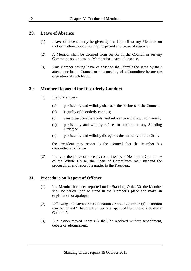#### **29. Leave of Absence**

- (1) Leave of absence may be given by the Council to any Member, on motion without notice, stating the period and cause of absence.
- (2) A Member shall be excused from service in the Council or on any Committee so long as the Member has leave of absence.
- (3) Any Member having leave of absence shall forfeit the same by their attendance in the Council or at a meeting of a Committee before the expiration of such leave.

### **30. Member Reported for Disorderly Conduct**

- (1) If any Member
	- (a) persistently and wilfully obstructs the business of the Council;
	- (b) is guilty of disorderly conduct;
	- (c) uses objectionable words, and refuses to withdraw such words;
	- (d) persistently and wilfully refuses to conform to any Standing Order; or
	- (e) persistently and wilfully disregards the authority of the Chair,

 the President may report to the Council that the Member has committed an offence.

(2) If any of the above offences is committed by a Member in Committee of the Whole House, the Chair of Committees may suspend the proceedings and report the matter to the President.

#### **31. Procedure on Report of Offence**

- (1) If a Member has been reported under Standing Order 30, the Member shall be called upon to stand in the Member's place and make an explanation or apology.
- (2) Following the Member's explanation or apology under (1), a motion may be moved "That the Member be suspended from the service of the Council.".
- (3) A question moved under (2) shall be resolved without amendment, debate or adjournment.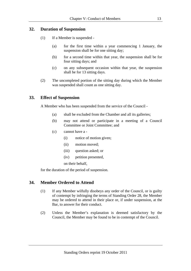# **32. Duration of Suspension**

- (1) If a Member is suspended
	- (a) for the first time within a year commencing 1 January, the suspension shall be for one sitting day;
	- (b) for a second time within that year, the suspension shall be for four sitting days; and
	- (c) on any subsequent occasion within that year, the suspension shall be for 13 sitting days.
- (2) The uncompleted portion of the sitting day during which the Member was suspended shall count as one sitting day.

# **33. Effect of Suspension**

A Member who has been suspended from the service of the Council -

- (a) shall be excluded from the Chamber and all its galleries;
- (b) may not attend or participate in a meeting of a Council Committee or Joint Committee; and
- (c) cannot have a
	- (i) notice of motion given;
	- (ii) motion moved;
	- (iii) question asked; or
	- (iv) petition presented,

on their behalf,

for the duration of the period of suspension.

#### **34. Member Ordered to Attend**

- (1) If any Member wilfully disobeys any order of the Council, or is guilty of contempt by infringing the terms of Standing Order 28, the Member may be ordered to attend in their place or, if under suspension, at the Bar, to answer for their conduct.
- (2) Unless the Member's explanation is deemed satisfactory by the Council, the Member may be found to be in contempt of the Council.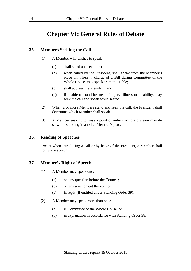# **Chapter VI: General Rules of Debate**

### **35. Members Seeking the Call**

- (1) A Member who wishes to speak
	- (a) shall stand and seek the call;
	- (b) when called by the President, shall speak from the Member's place or, when in charge of a Bill during Committee of the Whole House, may speak from the Table;
	- (c) shall address the President; and
	- (d) if unable to stand because of injury, illness or disability, may seek the call and speak while seated.
- (2) When 2 or more Members stand and seek the call, the President shall determine which Member shall speak.
- (3) A Member seeking to raise a point of order during a division may do so while standing in another Member's place.

#### **36. Reading of Speeches**

Except when introducing a Bill or by leave of the President, a Member shall not read a speech.

## **37. Member's Right of Speech**

- (1) A Member may speak once
	- (a) on any question before the Council;
	- (b) on any amendment thereon; or
	- (c) in reply (if entitled under Standing Order 39).
- (2) A Member may speak more than once
	- (a) in Committee of the Whole House; or
	- (b) in explanation in accordance with Standing Order 38.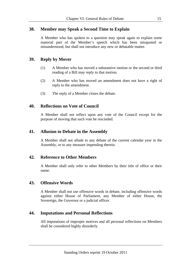## **38. Member may Speak a Second Time to Explain**

A Member who has spoken to a question may speak again to explain some material part of the Member's speech which has been misquoted or misunderstood, but shall not introduce any new or debatable matter.

#### **39. Reply by Mover**

- (1) A Member who has moved a substantive motion or the second or third reading of a Bill may reply to that motion.
- (2) A Member who has moved an amendment does not have a right of reply to the amendment.
- (3) The reply of a Member closes the debate.

#### **40. Reflections on Vote of Council**

A Member shall not reflect upon any vote of the Council except for the purpose of moving that such vote be rescinded.

#### **41. Allusion to Debate in the Assembly**

A Member shall not allude to any debate of the current calendar year in the Assembly, or to any measure impending therein.

#### **42. Reference to Other Members**

A Member shall only refer to other Members by their title of office or their name.

#### **43. Offensive Words**

A Member shall not use offensive words in debate, including offensive words against either House of Parliament, any Member of either House, the Sovereign, the Governor or a judicial officer.

#### **44. Imputations and Personal Reflections**

All imputations of improper motives and all personal reflections on Members shall be considered highly disorderly.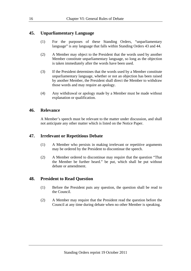# **45. Unparliamentary Language**

- (1) For the purposes of these Standing Orders, "unparliamentary language" is any language that falls within Standing Orders 43 and 44.
- (2) A Member may object to the President that the words used by another Member constitute unparliamentary language, so long as the objection is taken immediately after the words have been used.
- (3) If the President determines that the words used by a Member constitute unparliamentary language, whether or not an objection has been raised by another Member, the President shall direct the Member to withdraw those words and may require an apology.
- (4) Any withdrawal or apology made by a Member must be made without explanation or qualification.

#### **46. Relevance**

A Member's speech must be relevant to the matter under discussion, and shall not anticipate any other matter which is listed on the Notice Paper.

## **47. Irrelevant or Repetitious Debate**

- (1) A Member who persists in making irrelevant or repetitive arguments may be ordered by the President to discontinue the speech.
- (2) A Member ordered to discontinue may require that the question "That the Member be further heard." be put, which shall be put without debate or amendment.

## **48. President to Read Question**

- (1) Before the President puts any question, the question shall be read to the Council.
- (2) A Member may require that the President read the question before the Council at any time during debate when no other Member is speaking.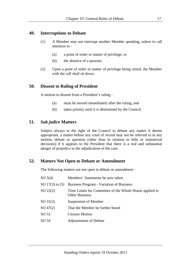#### **49. Interruptions to Debate**

- (1) A Member may not interrupt another Member speaking, unless to call attention to -
	- (a) a point of order or matter of privilege; or
	- (b) the absence of a quorum.
- (2) Upon a point of order or matter of privilege being raised, the Member with the call shall sit down.

#### **50. Dissent to Ruling of President**

A motion to dissent from a President's ruling -

- (a) must be moved immediately after the ruling; and
- (b) takes priority until it is determined by the Council.

#### **51.** *Sub judice* **Matters**

Subject always to the right of the Council to debate any matter it deems appropriate, a matter before any court of record may not be referred to in any motion, debate or question (other than in relation to bills or ministerial decisions) if it appears to the President that there is a real and substantial danger of prejudice to the adjudication of the case.

#### **52. Matters Not Open to Debate or Amendment**

The following matters are not open to debate or amendment -

| SO 5(4)             | Members' Statements be now taken                                                 |
|---------------------|----------------------------------------------------------------------------------|
| SO $17(3)$ to $(5)$ | <b>Business Program - Variation of Business</b>                                  |
| $SO\ 22(2)$         | Time Limits for Committee of the Whole House applied to<br><b>Other Business</b> |
| $SO\,31(2)$         | Suspension of Member                                                             |
| $SO\,47(2)$         | That the Member be further heard                                                 |
| SO <sub>53</sub>    | <b>Closure Motion</b>                                                            |
| SO 54               | <b>Adjournment of Debate</b>                                                     |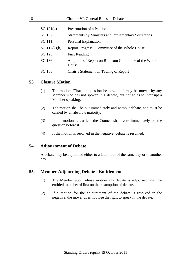| SO 101(4)      | Presentation of a Petition                                      |
|----------------|-----------------------------------------------------------------|
| SO 102         | <b>Statements by Ministers and Parliamentary Secretaries</b>    |
| SO 111         | Personal Explanation                                            |
| SO $117(2)(b)$ | Report Progress - Committee of the Whole House                  |
| SO 123         | <b>First Reading</b>                                            |
| SO 136         | Adoption of Report on Bill from Committee of the Whole<br>House |
| SO 188         | Chair's Statement on Tabling of Report                          |

#### **53. Closure Motion**

- (1) The motion "That the question be now put." may be moved by any Member who has not spoken in a debate, but not so as to interrupt a Member speaking.
- (2) The motion shall be put immediately and without debate, and must be carried by an absolute majority.
- (3) If the motion is carried, the Council shall vote immediately on the question before it.
- (4) If the motion is resolved in the negative, debate is resumed.

#### **54. Adjournment of Debate**

A debate may be adjourned either to a later hour of the same day or to another day.

#### **55. Member Adjourning Debate - Entitlements**

- (1) The Member upon whose motion any debate is adjourned shall be entitled to be heard first on the resumption of debate.
- (2) If a motion for the adjournment of the debate is resolved in the negative, the mover does not lose the right to speak in the debate.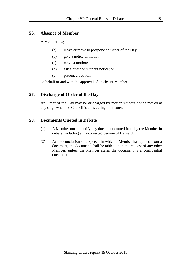#### **56. Absence of Member**

A Member may -

- (a) move or move to postpone an Order of the Day;
- (b) give a notice of motion;
- (c) move a motion;
- (d) ask a question without notice; or
- (e) present a petition,

on behalf of and with the approval of an absent Member.

### **57. Discharge of Order of the Day**

An Order of the Day may be discharged by motion without notice moved at any stage when the Council is considering the matter.

### **58. Documents Quoted in Debate**

- (1) A Member must identify any document quoted from by the Member in debate, including an uncorrected version of Hansard.
- (2) At the conclusion of a speech in which a Member has quoted from a document, the document shall be tabled upon the request of any other Member, unless the Member states the document is a confidential document.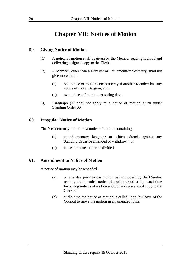# **Chapter VII: Notices of Motion**

### **59. Giving Notice of Motion**

- (1) A notice of motion shall be given by the Member reading it aloud and delivering a signed copy to the Clerk.
- (2) A Member, other than a Minister or Parliamentary Secretary, shall not give more than -
	- (a) one notice of motion consecutively if another Member has any notice of motion to give; and
	- (b) two notices of motion per sitting day.
- (3) Paragraph (2) does not apply to a notice of motion given under Standing Order 66.

#### **60. Irregular Notice of Motion**

The President may order that a notice of motion containing -

- (a) unparliamentary language or which offends against any Standing Order be amended or withdrawn; or
- (b) more than one matter be divided.

#### **61. Amendment to Notice of Motion**

A notice of motion may be amended -

- (a) on any day prior to the motion being moved, by the Member reading the amended notice of motion aloud at the usual time for giving notices of motion and delivering a signed copy to the Clerk; or
- (b) at the time the notice of motion is called upon, by leave of the Council to move the motion in an amended form.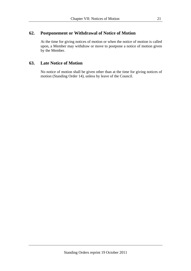# **62. Postponement or Withdrawal of Notice of Motion**

At the time for giving notices of motion or when the notice of motion is called upon, a Member may withdraw or move to postpone a notice of motion given by the Member.

# **63. Late Notice of Motion**

No notice of motion shall be given other than at the time for giving notices of motion (Standing Order 14), unless by leave of the Council.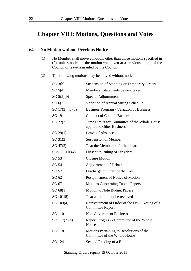# **Chapter VIII: Motions, Questions and Votes**

#### **64. No Motion without Previous Notice**

- (1) No Member shall move a motion, other than those motions specified in (2), unless notice of the motion was given at a previous sitting of the Council or leave is granted by the Council.
- (2) The following motions may be moved without notice -

| SO(3(b))                   | Suspension of Standing or Temporary Orders                                 |
|----------------------------|----------------------------------------------------------------------------|
| SO <sub>5</sub> (4)        | Members' Statements be now taken                                           |
| SO 5(5)(b)                 | Special Adjournment                                                        |
| SO(6(2))                   | Variation of Annual Sitting Schedule                                       |
| SO $17(3)$ to $(5)$        | <b>Business Program - Variation of Business</b>                            |
| SO 19                      | <b>Conduct of Council Business</b>                                         |
| $SO\ 22(2)$                | Time Limits for Committee of the Whole House<br>applied to Other Business  |
| $SO\,29(1)$                | Leave of Absence                                                           |
| $SO\,31(2)$                | <b>Suspension of Member</b>                                                |
| $SO\,47(2)$                | That the Member be further heard                                           |
| SO <sub>s</sub> 50, 116(4) | Dissent to Ruling of President                                             |
| SO <sub>53</sub>           | <b>Closure Motion</b>                                                      |
| SO 54                      | <b>Adjournment of Debate</b>                                               |
| SO 57                      | Discharge of Order of the Day                                              |
| SO 62                      | Postponement of Notice of Motion                                           |
| SO 67                      | <b>Motions Concerning Tabled Papers</b>                                    |
| SO 68(1)                   | Motion to Note Budget Papers                                               |
| SO 101(5)                  | That a petition not be received                                            |
| SO 109(4)                  | Reinstatement of Order of the Day - Noting of a<br><b>Committee Report</b> |
| SO 110                     | <b>Non-Government Business</b>                                             |
| SO $117(2)(b)$             | Report Progress - Committee of the Whole<br>House                          |
| SO 118                     | Motions Pertaining to Resolutions of the<br>Committee of the Whole House   |
| SO 124                     | Second Reading of a Bill                                                   |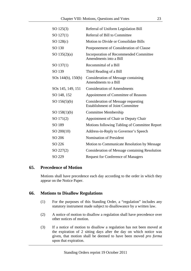| SO 125(3)                     | Referral of Uniform Legislation Bill                                                  |
|-------------------------------|---------------------------------------------------------------------------------------|
| $SO\ 127(1)$                  | Referral of Bill to Committee                                                         |
| SO 128(c)                     | Motion to Divide or Consolidate Bills                                                 |
| SO 130                        | Postponement of Consideration of Clause                                               |
| SO $135(2)(a)$                | Incorporation of Recommended Committee<br>Amendments into a Bill                      |
| SO(137(1))                    | Recommittal of a Bill                                                                 |
| SO 139                        | Third Reading of a Bill                                                               |
| SOs $144(b)$ , $150(b)$       | Consideration of Message containing<br>Amendments to a Bill                           |
| SO <sub>s</sub> 145, 149, 151 | <b>Consideration of Amendments</b>                                                    |
| SO 148, 152                   | Appointment of Committee of Reasons                                                   |
| SO $156(5)(b)$                | <b>Consideration of Message requesting</b><br><b>Establishment of Joint Committee</b> |
| SO $158(1)(b)$                | Committee Membership                                                                  |
| SO 171(2)                     | Appointment of Chair or Deputy Chair                                                  |
| SO 189                        | Motions following Tabling of Committee Report                                         |
| $SO\,200(10)$                 | Address-in-Reply to Governor's Speech                                                 |
| SO 206                        | <b>Nomination of President</b>                                                        |
| SO 226                        | Motion to Communicate Resolution by Message                                           |
| $SO\ 227(2)$                  | <b>Consideration of Message containing Resolution</b>                                 |
| SO 229                        | <b>Request for Conference of Managers</b>                                             |

#### **65. Precedence of Motion**

Motions shall have precedence each day according to the order in which they appear on the Notice Paper.

#### **66. Motions to Disallow Regulations**

- (1) For the purposes of this Standing Order, a "regulation" includes any statutory instrument made subject to disallowance by a written law.
- (2) A notice of motion to disallow a regulation shall have precedence over other notices of motion.
- (3) If a notice of motion to disallow a regulation has not been moved at the expiration of 2 sitting days after the day on which notice was given, that motion shall be deemed to have been moved *pro forma* upon that expiration.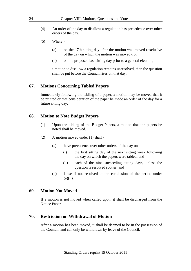- (4) An order of the day to disallow a regulation has precedence over other orders of the day.
- (5) Where
	- (a) on the 17th sitting day after the motion was moved (exclusive of the day on which the motion was moved); or
	- (b) on the proposed last sitting day prior to a general election,

a motion to disallow a regulation remains unresolved, then the question shall be put before the Council rises on that day.

#### **67. Motions Concerning Tabled Papers**

Immediately following the tabling of a paper, a motion may be moved that it be printed or that consideration of the paper be made an order of the day for a future sitting day.

#### **68. Motion to Note Budget Papers**

- (1) Upon the tabling of the Budget Papers, a motion that the papers be noted shall be moved.
- (2) A motion moved under (1) shall
	- (a) have precedence over other orders of the day on
		- (i) the first sitting day of the next sitting week following the day on which the papers were tabled; and
		- (ii) each of the nine succeeding sitting days, unless the question is resolved sooner; and
	- (b) lapse if not resolved at the conclusion of the period under  $(a)(ii)$ .

#### **69. Motion Not Moved**

If a motion is not moved when called upon, it shall be discharged from the Notice Paper.

#### **70. Restriction on Withdrawal of Motion**

After a motion has been moved, it shall be deemed to be in the possession of the Council, and can only be withdrawn by leave of the Council.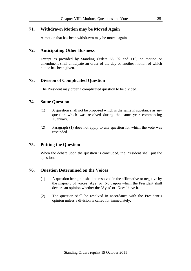# **71. Withdrawn Motion may be Moved Again**

A motion that has been withdrawn may be moved again.

## **72. Anticipating Other Business**

Except as provided by Standing Orders 66, 92 and 110, no motion or amendment shall anticipate an order of the day or another motion of which notice has been given.

# **73. Division of Complicated Question**

The President may order a complicated question to be divided.

### **74. Same Question**

- (1) A question shall not be proposed which is the same in substance as any question which was resolved during the same year commencing 1 January.
- (2) Paragraph (1) does not apply to any question for which the vote was rescinded.

## **75. Putting the Question**

When the debate upon the question is concluded, the President shall put the question.

#### **76. Question Determined on the Voices**

- (1) A question being put shall be resolved in the affirmative or negative by the majority of voices 'Aye' or 'No', upon which the President shall declare an opinion whether the 'Ayes' or 'Noes' have it.
- (2) The question shall be resolved in accordance with the President's opinion unless a division is called for immediately.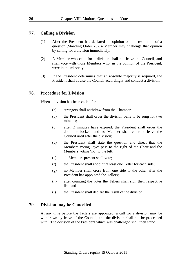#### **77. Calling a Division**

- (1) After the President has declared an opinion on the resolution of a question (Standing Order 76), a Member may challenge that opinion by calling for a division immediately.
- (2) A Member who calls for a division shall not leave the Council, and shall vote with those Members who, in the opinion of the President, were in the minority.
- (3) If the President determines that an absolute majority is required, the President shall advise the Council accordingly and conduct a division.

#### **78. Procedure for Division**

When a division has been called for -

- (a) strangers shall withdraw from the Chamber;
- (b) the President shall order the division bells to be rung for two minutes;
- (c) after 2 minutes have expired, the President shall order the doors be locked, and no Member shall enter or leave the Council until after the division;
- (d) the President shall state the question and direct that the Members voting 'aye' pass to the right of the Chair and the Members voting 'no' to the left;
- (e) all Members present shall vote;
- (f) the President shall appoint at least one Teller for each side;
- (g) no Member shall cross from one side to the other after the President has appointed the Tellers;
- (h) after counting the votes the Tellers shall sign their respective list; and
- (i) the President shall declare the result of the division.

#### **79. Division may be Cancelled**

At any time before the Tellers are appointed, a call for a division may be withdrawn by leave of the Council, and the division shall not be proceeded with. The decision of the President which was challenged shall then stand.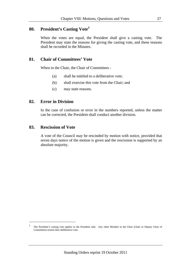# **80. President's Casting Vote<sup>3</sup>**

When the votes are equal, the President shall give a casting vote. The President may state the reasons for giving the casting vote, and these reasons shall be recorded in the Minutes.

## **81. Chair of Committees' Vote**

When in the Chair, the Chair of Committees -

- (a) shall be entitled to a deliberative vote;
- (b) shall exercise this vote from the Chair; and
- (c) may state reasons.

#### **82. Error in Division**

In the case of confusion or error in the numbers reported, unless the matter can be corrected, the President shall conduct another division.

#### **83. Rescission of Vote**

1

A vote of the Council may be rescinded by motion with notice, provided that seven days notice of the motion is given and the rescission is supported by an absolute majority.

<sup>&</sup>lt;sup>3</sup> The President's casting vote applies to the President only. Any other Member in the Chair (Chair or Deputy Chair of Committees) retains their deliberative vote.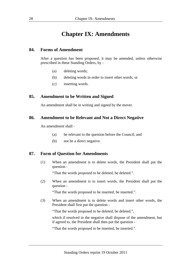# **Chapter IX: Amendments**

#### **84. Forms of Amendment**

After a question has been proposed, it may be amended, unless otherwise prescribed in these Standing Orders, by -

- (a) deleting words;
- (b) deleting words in order to insert other words; or
- (c) inserting words.

#### **85. Amendment to be Written and Signed**

An amendment shall be in writing and signed by the mover.

#### **86. Amendment to be Relevant and Not a Direct Negative**

An amendment shall -

- (a) be relevant to the question before the Council; and
- (b) not be a direct negative.

#### **87. Form of Question for Amendments**

(1) When an amendment is to delete words, the President shall put the question -

"That the words proposed to be deleted, be deleted.".

(2) When an amendment is to insert words, the President shall put the question -

"That the words proposed to be inserted, be inserted.".

(3) When an amendment is to delete words and insert other words, the President shall first put the question -

"That the words proposed to be deleted, be deleted.",

 which if resolved in the negative shall dispose of the amendment, but if agreed to, the President shall then put the question -

"That the words proposed to be inserted, be inserted.".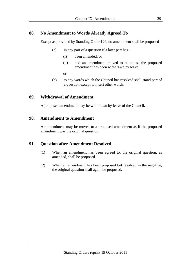# **88. No Amendment to Words Already Agreed To**

Except as provided by Standing Order 129, no amendment shall be proposed -

- (a) in any part of a question if a later part has
	- (i) been amended; or
	- (ii) had an amendment moved to it, unless the proposed amendment has been withdrawn by leave;
	- or
- (b) to any words which the Council has resolved shall stand part of a question except to insert other words.

## **89. Withdrawal of Amendment**

A proposed amendment may be withdrawn by leave of the Council.

#### **90. Amendment to Amendment**

An amendment may be moved to a proposed amendment as if the proposed amendment was the original question.

## **91. Question after Amendment Resolved**

- (1) When an amendment has been agreed to, the original question, as amended, shall be proposed.
- (2) When an amendment has been proposed but resolved in the negative, the original question shall again be proposed.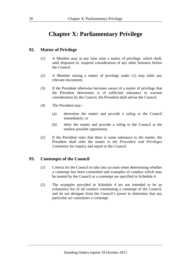# **Chapter X: Parliamentary Privilege**

# **92. Matter of Privilege**

- (1) A Member may at any time raise a matter of privilege, which shall, until disposed of, suspend consideration of any other business before the Council.
- (2) A Member raising a matter of privilege under (1) may table any relevant documents.
- (3) If the President otherwise becomes aware of a matter of privilege that the President determines is of sufficient substance to warrant consideration by the Council, the President shall advise the Council.
- (4) The President may
	- (a) determine the matter and provide a ruling to the Council immediately; or
	- (b) defer the matter and provide a ruling to the Council at the earliest possible opportunity.
- (5) If the President rules that there is some substance to the matter, the President shall refer the matter to the *Procedure and Privileges Committee* for inquiry and report to the Council.

## **93. Contempts of the Council**

- (1) Criteria for the Council to take into account when determining whether a contempt has been committed and examples of conduct which may be treated by the Council as a contempt are specified in Schedule 4.
- (2) The examples provided in Schedule 4 are not intended to be an exhaustive list of all conduct constituting a contempt of the Council, and do not derogate from the Council's power to determine that any particular act constitutes a contempt.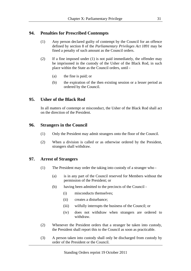## **94. Penalties for Prescribed Contempts**

- (1) Any person declared guilty of contempt by the Council for an offence defined by section 8 of the *Parliamentary Privileges Act 1891* may be fined a penalty of such amount as the Council orders.
- (2) If a fine imposed under (1) is not paid immediately, the offender may be imprisoned in the custody of the Usher of the Black Rod, in such place within the State as the Council orders, until -
	- (a) the fine is paid; or
	- (b) the expiration of the then existing session or a lesser period as ordered by the Council.

# **95. Usher of the Black Rod**

In all matters of contempt or misconduct, the Usher of the Black Rod shall act on the direction of the President.

## **96. Strangers in the Council**

- (1) Only the President may admit strangers onto the floor of the Council.
- (2) When a division is called or as otherwise ordered by the President, strangers shall withdraw.

## **97. Arrest of Strangers**

- (1) The President may order the taking into custody of a stranger who
	- (a) is in any part of the Council reserved for Members without the permission of the President; or
	- (b) having been admitted to the precincts of the Council
		- (i) misconducts themselves;
		- (ii) creates a disturbance;
		- (iii) wilfully interrupts the business of the Council; or
		- (iv) does not withdraw when strangers are ordered to withdraw.
- (2) Whenever the President orders that a stranger be taken into custody, the President shall report this to the Council as soon as practicable.
- (3) A person taken into custody shall only be discharged from custody by order of the President or the Council.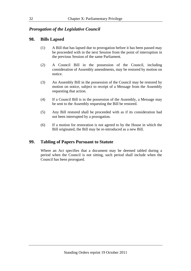# *Prorogation of the Legislative Council*

# **98. Bills Lapsed**

- (1) A Bill that has lapsed due to prorogation before it has been passed may be proceeded with in the next Session from the point of interruption in the previous Session of the same Parliament.
- (2) A Council Bill in the possession of the Council, including consideration of Assembly amendments, may be restored by motion on notice.
- (3) An Assembly Bill in the possession of the Council may be restored by motion on notice, subject to receipt of a Message from the Assembly requesting that action.
- (4) If a Council Bill is in the possession of the Assembly, a Message may be sent to the Assembly requesting the Bill be restored.
- (5) Any Bill restored shall be proceeded with as if its consideration had not been interrupted by a prorogation.
- (6) If a motion for restoration is not agreed to by the House in which the Bill originated, the Bill may be re-introduced as a new Bill.

## **99. Tabling of Papers Pursuant to Statute**

Where an Act specifies that a document may be deemed tabled during a period when the Council is not sitting, such period shall include when the Council has been prorogued.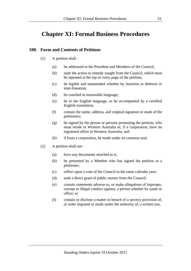# **Chapter XI: Formal Business Procedures**

## **100. Form and Contents of Petitions**

- (1) A petition shall
	- (a) be addressed to the President and Members of the Council;
	- (b) state the action or remedy sought from the Council, which must be repeated at the top of every page of the petition;
	- (c) be legible and unamended whether by insertion or deletion or inter-lineation;
	- (d) be couched in reasonable language;
	- (e) be in the English language, or be accompanied by a certified English translation;
	- (f) contain the name, address, and original signature or mark of the petitioners;
	- (g) be signed by the person or persons promoting the petition, who must reside in Western Australia or, if a corporation, have its registered office in Western Australia; and
	- (h) if from a corporation, be made under its common seal.
- (2) A petition shall not
	- (a) have any documents attached to it;
	- (b) be presented by a Member who has signed the petition as a petitioner;
	- (c) reflect upon a vote of the Council in the same calendar year;
	- (d) seek a direct grant of public money from the Council;
	- (e) contain statements adverse to, or make allegations of improper, corrupt or illegal conduct against, a person whether by name or office; or
	- (f) contain or disclose a matter in breach of a secrecy provision of, or order imposed or made under the authority of, a written law.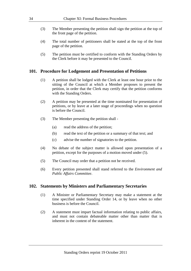- (3) The Member presenting the petition shall sign the petition at the top of the front page of the petition.
- (4) The total number of petitioners shall be stated at the top of the front page of the petition.
- (5) The petition must be certified to conform with the Standing Orders by the Clerk before it may be presented to the Council.

#### **101. Procedure for Lodgement and Presentation of Petitions**

- (1) A petition shall be lodged with the Clerk at least one hour prior to the sitting of the Council at which a Member proposes to present the petition, in order that the Clerk may certify that the petition conforms with the Standing Orders.
- (2) A petition may be presented at the time nominated for presentation of petitions, or by leave at a later stage of proceedings when no question is before the Council.
- (3) The Member presenting the petition shall
	- (a) read the address of the petition;
	- (b) read the text of the petition or a summary of that text; and
	- (c) advise the number of signatories to the petition.
- (4) No debate of the subject matter is allowed upon presentation of a petition, except for the purposes of a motion moved under (5).
- (5) The Council may order that a petition not be received.
- (6) Every petition presented shall stand referred to the *Environment and Public Affairs Committee*.

#### **102. Statements by Ministers and Parliamentary Secretaries**

- (1) A Minister or Parliamentary Secretary may make a statement at the time specified under Standing Order 14, or by leave when no other business is before the Council.
- (2) A statement must impart factual information relating to public affairs, and must not contain debateable matter other than matter that is inherent in the content of the statement.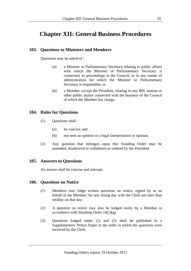# **Chapter XII: General Business Procedures**

# **103. Questions to Ministers and Members**

Questions may be asked of -

- (a) a Minister or Parliamentary Secretary relating to public affairs with which the Minister or Parliamentary Secretary is connected, to proceedings in the Council, or to any matter of administration for which the Minister or Parliamentary Secretary is responsible; or
- (b) a Member, except the President, relating to any Bill, motion or other public matter connected with the business of the Council of which the Member has charge.

## **104. Rules for Questions**

- (1) Questions shall
	- (a) be concise; and
	- (b) not seek an opinion or a legal interpretation or opinion.
- (2) Any question that infringes upon this Standing Order may be amended, disallowed or withdrawn as ordered by the President.

# **105. Answers to Questions**

An answer shall be concise and relevant.

## **106. Questions on Notice**

- (1) Members may lodge written questions on notice, signed by or on behalf of the Member, for any sitting day with the Clerk not later than midday on that day.
- (2) A question on notice may also be lodged orally by a Member in accordance with Standing Order  $14(1)(g)$ .
- (3) Questions lodged under (1) and (2) shall be published in a Supplementary Notice Paper in the order in which the questions were received by the Clerk.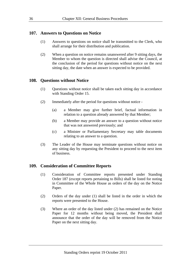## **107. Answers to Questions on Notice**

- (1) Answers to questions on notice shall be transmitted to the Clerk, who shall arrange for their distribution and publication.
- (2) When a question on notice remains unanswered after 9 sitting days, the Member to whom the question is directed shall advise the Council, at the conclusion of the period for questions without notice on the next sitting day, the date when an answer is expected to be provided.

## **108. Questions without Notice**

- (1) Questions without notice shall be taken each sitting day in accordance with Standing Order 15.
- (2) Immediately after the period for questions without notice
	- (a) a Member may give further brief, factual information in relation to a question already answered by that Member;
	- (b) a Member may provide an answer to a question without notice that was not answered previously; and
	- (c) a Minister or Parliamentary Secretary may table documents relating to an answer to a question.
- (3) The Leader of the House may terminate questions without notice on any sitting day by requesting the President to proceed to the next item of business.

## **109. Consideration of Committee Reports**

- (1) Consideration of Committee reports presented under Standing Order 187 (except reports pertaining to Bills) shall be listed for noting in Committee of the Whole House as orders of the day on the Notice Paper.
- (2) Orders of the day under (1) shall be listed in the order in which the reports were presented to the House.
- (3) Where an order of the day listed under (2) has remained on the Notice Paper for 12 months without being moved, the President shall announce that the order of the day will be removed from the Notice Paper on the next sitting day.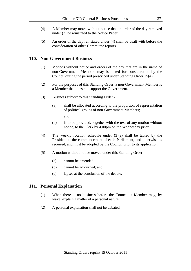- (4) A Member may move without notice that an order of the day removed under (3) be reinstated to the Notice Paper.
- (5) An order of the day reinstated under (4) shall be dealt with before the consideration of other Committee reports.

#### **110. Non-Government Business**

- (1) Motions without notice and orders of the day that are in the name of non-Government Members may be listed for consideration by the Council during the period prescribed under Standing Order 15(4).
- (2) For the purposes of this Standing Order, a non-Government Member is a Member that does not support the Government.
- (3) Business subject to this Standing Order
	- (a) shall be allocated according to the proportion of representation of political groups of non-Government Members;

and

- (b) is to be provided, together with the text of any motion without notice, to the Clerk by 4.00pm on the Wednesday prior.
- (4) The weekly rotation schedule under (3)(a) shall be tabled by the President at the commencement of each Parliament, and otherwise as required, and must be adopted by the Council prior to its application.
- (5) A motion without notice moved under this Standing Order
	- (a) cannot be amended;
	- (b) cannot be adjourned; and
	- (c) lapses at the conclusion of the debate.

#### **111. Personal Explanation**

- (1) When there is no business before the Council, a Member may, by leave, explain a matter of a personal nature.
- (2) A personal explanation shall not be debated.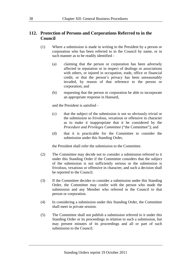# **112. Protection of Persons and Corporations Referred to in the Council**

- (1) Where a submission is made in writing to the President by a person or corporation who has been referred to in the Council by name, or in such manner as to be readily identified -
	- (a) claiming that the person or corporation has been adversely affected in reputation or in respect of dealings or associations with others, or injured in occupation, trade, office or financial credit, or that the person's privacy has been unreasonably invaded, by reason of that reference to the person or corporation; and
	- (b) requesting that the person or corporation be able to incorporate an appropriate response in Hansard,

and the President is satisfied -

- (c) that the subject of the submission is not so obviously trivial or the submission so frivolous, vexatious or offensive in character as to make it inappropriate that it be considered by the *Procedure and Privileges Committee* ("the Committee"); and
- (d) that it is practicable for the Committee to consider the submission under this Standing Order,

the President shall refer the submission to the Committee.

- (2) The Committee may decide not to consider a submission referred to it under this Standing Order if the Committee considers that the subject of the submission is not sufficiently serious or the submission is frivolous, vexatious or offensive in character, and such a decision shall be reported to the Council.
- (3) If the Committee decides to consider a submission under this Standing Order, the Committee may confer with the person who made the submission and any Member who referred in the Council to that person or corporation.
- (4) In considering a submission under this Standing Order, the Committee shall meet in private session.
- (5) The Committee shall not publish a submission referred to it under this Standing Order or its proceedings in relation to such a submission, but may present minutes of its proceedings and all or part of such submission to the Council.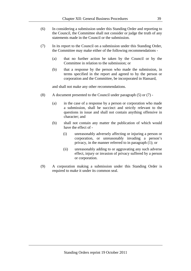- (6) In considering a submission under this Standing Order and reporting to the Council, the Committee shall not consider or judge the truth of any statements made in the Council or the submission.
- (7) In its report to the Council on a submission under this Standing Order, the Committee may make either of the following recommendations -
	- (a) that no further action be taken by the Council or by the Committee in relation to the submission; or
	- (b) that a response by the person who made the submission, in terms specified in the report and agreed to by the person or corporation and the Committee, be incorporated in Hansard,

and shall not make any other recommendations.

- (8) A document presented to the Council under paragraph  $(5)$  or  $(7)$  -
	- (a) in the case of a response by a person or corporation who made a submission, shall be succinct and strictly relevant to the questions in issue and shall not contain anything offensive in character; and
	- (b) shall not contain any matter the publication of which would have the effect of -
		- (i) unreasonably adversely affecting or injuring a person or corporation, or unreasonably invading a person's privacy, in the manner referred to in paragraph (1); or
		- (ii) unreasonably adding to or aggravating any such adverse effect, injury or invasion of privacy suffered by a person or corporation.
- (9) A corporation making a submission under this Standing Order is required to make it under its common seal.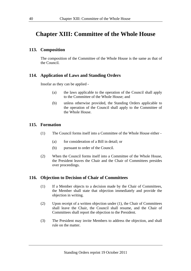# **Chapter XIII: Committee of the Whole House**

#### **113. Composition**

The composition of the Committee of the Whole House is the same as that of the Council.

#### **114. Application of Laws and Standing Orders**

Insofar as they can be applied -

- (a) the laws applicable to the operation of the Council shall apply to the Committee of the Whole House; and
- (b) unless otherwise provided, the Standing Orders applicable to the operation of the Council shall apply to the Committee of the Whole House.

#### **115. Formation**

- (1) The Council forms itself into a Committee of the Whole House either
	- (a) for consideration of a Bill in detail; or
	- (b) pursuant to order of the Council.
- (2) When the Council forms itself into a Committee of the Whole House, the President leaves the Chair and the Chair of Committees presides over proceedings.

#### **116. Objection to Decision of Chair of Committees**

- (1) If a Member objects to a decision made by the Chair of Committees, the Member shall state that objection immediately and provide the objection in writing.
- (2) Upon receipt of a written objection under (1), the Chair of Committees shall leave the Chair, the Council shall resume, and the Chair of Committees shall report the objection to the President.
- (3) The President may invite Members to address the objection, and shall rule on the matter.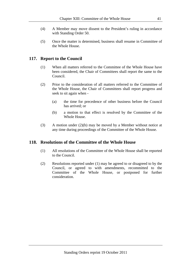- (4) A Member may move dissent to the President's ruling in accordance with Standing Order 50.
- (5) Once the matter is determined, business shall resume in Committee of the Whole House.

#### **117. Report to the Council**

- (1) When all matters referred to the Committee of the Whole House have been considered, the Chair of Committees shall report the same to the Council.
- (2) Prior to the consideration of all matters referred to the Committee of the Whole House, the Chair of Committees shall report progress and seek to sit again when -
	- (a) the time for precedence of other business before the Council has arrived; or
	- (b) a motion to that effect is resolved by the Committee of the Whole House.
- (3) A motion under (2)(b) may be moved by a Member without notice at any time during proceedings of the Committee of the Whole House.

#### **118. Resolutions of the Committee of the Whole House**

- (1) All resolutions of the Committee of the Whole House shall be reported to the Council.
- (2) Resolutions reported under (1) may be agreed to or disagreed to by the Council, or agreed to with amendments, recommitted to the Committee of the Whole House, or postponed for further consideration.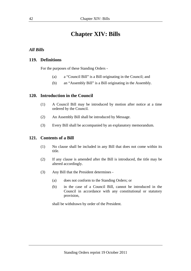# **Chapter XIV: Bills**

## *All Bills*

#### **119. Definitions**

For the purposes of these Standing Orders -

- (a) a "Council Bill" is a Bill originating in the Council; and
- (b) an "Assembly Bill" is a Bill originating in the Assembly.

#### **120. Introduction in the Council**

- (1) A Council Bill may be introduced by motion after notice at a time ordered by the Council.
- (2) An Assembly Bill shall be introduced by Message.
- (3) Every Bill shall be accompanied by an explanatory memorandum.

#### **121. Contents of a Bill**

- (1) No clause shall be included in any Bill that does not come within its title.
- (2) If any clause is amended after the Bill is introduced, the title may be altered accordingly.
- (3) Any Bill that the President determines
	- (a) does not conform to the Standing Orders; or
	- (b) in the case of a Council Bill, cannot be introduced in the Council in accordance with any constitutional or statutory provision,

shall be withdrawn by order of the President.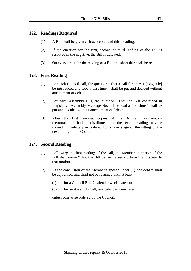# **122. Readings Required**

- (1) A Bill shall be given a first, second and third reading.
- (2) If the question for the first, second or third reading of the Bill is resolved in the negative, the Bill is defeated.
- (3) On every order for the reading of a Bill, the short title shall be read.

# **123. First Reading**

- (1) For each Council Bill, the question "That a Bill for an Act [long title] be introduced and read a first time." shall be put and decided without amendment or debate.
- (2) For each Assembly Bill, the question "That the Bill contained in Legislative Assembly Message No. [ ] be read a first time." shall be put and decided without amendment or debate.
- (3) After the first reading, copies of the Bill and explanatory memorandum shall be distributed, and the second reading may be moved immediately or ordered for a later stage of the sitting or the next sitting of the Council.

# **124. Second Reading**

- (1) Following the first reading of the Bill, the Member in charge of the Bill shall move "That the Bill be read a second time.", and speak to that motion.
- (2) At the conclusion of the Member's speech under (1), the debate shall be adjourned, and shall not be resumed until at least -
	- (a) for a Council Bill, 2 calendar weeks later; or
	- (b) for an Assembly Bill, one calendar week later,

unless otherwise ordered by the Council.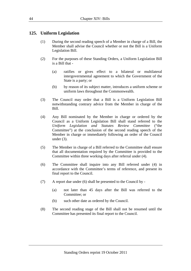# **125. Uniform Legislation**

- (1) During the second reading speech of a Member in charge of a Bill, the Member shall advise the Council whether or not the Bill is a Uniform Legislation Bill.
- (2) For the purposes of these Standing Orders, a Uniform Legislation Bill is a Bill that -
	- (a) ratifies or gives effect to a bilateral or multilateral intergovernmental agreement to which the Government of the State is a party; or
	- (b) by reason of its subject matter, introduces a uniform scheme or uniform laws throughout the Commonwealth.
- (3) The Council may order that a Bill is a Uniform Legislation Bill notwithstanding contrary advice from the Member in charge of the Bill.
- (4) Any Bill nominated by the Member in charge or ordered by the Council as a Uniform Legislation Bill shall stand referred to the *Uniform Legislation and Statutes Review Committee* ("the Committee") at the conclusion of the second reading speech of the Member in charge or immediately following an order of the Council under  $(3)$ .
- (5) The Member in charge of a Bill referred to the Committee shall ensure that all documentation required by the Committee is provided to the Committee within three working days after referral under (4).
- (6) The Committee shall inquire into any Bill referred under (4) in accordance with the Committee's terms of reference, and present its final report to the Council.
- (7) A report due under (6) shall be presented to the Council by
	- (a) not later than 45 days after the Bill was referred to the Committee; or
	- (b) such other date as ordered by the Council.
- (8) The second reading stage of the Bill shall not be resumed until the Committee has presented its final report to the Council.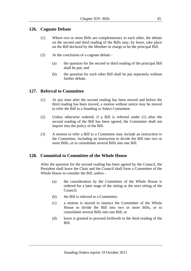# **126. Cognate Debate**

- (1) Where two or more Bills are complementary to each other, the debate on the second and third reading of the Bills may, by leave, take place on the Bill declared by the Member in charge to be the principal Bill.
- (2) At the conclusion of a cognate debate
	- (a) the question for the second or third reading of the principal Bill shall be put; and
	- (b) the question for each other Bill shall be put separately without further debate.

# **127. Referral to Committee**

- (1) At any time after the second reading has been moved and before the third reading has been moved, a motion without notice may be moved to refer the Bill to a Standing or Select Committee.
- (2) Unless otherwise ordered, if a Bill is referred under (1) after the second reading of the Bill has been agreed, the Committee shall not inquire into the policy of the Bill.
- (3) A motion to refer a Bill to a Committee may include an instruction to the Committee, including an instruction to divide the Bill into two or more Bills, or to consolidate several Bills into one Bill.

## **128. Committal to Committee of the Whole House**

After the question for the second reading has been agreed by the Council, the President shall leave the Chair and the Council shall form a Committee of the Whole House to consider the Bill, unless -

- (a) the consideration by the Committee of the Whole House is ordered for a later stage of the sitting or the next sitting of the Council;
- (b) the Bill is referred to a Committee;
- (c) a motion is moved to instruct the Committee of the Whole House to divide the Bill into two or more Bills, or to consolidate several Bills into one Bill; or
- (d) leave is granted to proceed forthwith to the third reading of the Bill.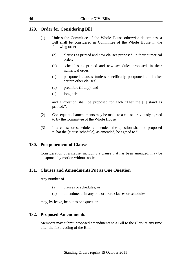# **129. Order for Considering Bill**

- (1) Unless the Committee of the Whole House otherwise determines, a Bill shall be considered in Committee of the Whole House in the following order -
	- (a) clauses as printed and new clauses proposed, in their numerical order;
	- (b) schedules as printed and new schedules proposed, in their numerical order;
	- (c) postponed clauses (unless specifically postponed until after certain other clauses);
	- (d) preamble (if any); and
	- (e) long title,

 and a question shall be proposed for each "That the [ ] stand as printed.".

- (2) Consequential amendments may be made to a clause previously agreed to by the Committee of the Whole House.
- (3) If a clause or schedule is amended, the question shall be proposed "That the [clause/schedule], as amended, be agreed to.".

## **130. Postponement of Clause**

Consideration of a clause, including a clause that has been amended, may be postponed by motion without notice.

#### **131. Clauses and Amendments Put as One Question**

Any number of -

- (a) clauses or schedules; or
- (b) amendments in any one or more clauses or schedules,

may, by leave, be put as one question.

## **132. Proposed Amendments**

Members may submit proposed amendments to a Bill to the Clerk at any time after the first reading of the Bill.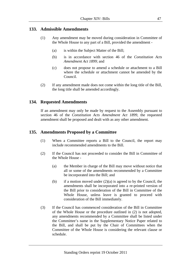## **133. Admissible Amendments**

- (1) Any amendment may be moved during consideration in Committee of the Whole House to any part of a Bill, provided the amendment -
	- (a) is within the Subject Matter of the Bill;
	- (b) is in accordance with section 46 of the *Constitution Acts Amendment Act 1899*; and
	- (c) does not propose to amend a schedule or attachment to a Bill where the schedule or attachment cannot be amended by the Council.
- (2) If any amendment made does not come within the long title of the Bill, the long title shall be amended accordingly.

## **134. Requested Amendments**

If an amendment may only be made by request to the Assembly pursuant to section 46 of the *Constitution Acts Amendment Act 1899*, the requested amendment shall be proposed and dealt with as any other amendment.

## **135. Amendments Proposed by a Committee**

- (1) When a Committee reports a Bill to the Council, the report may include recommended amendments to the Bill.
- (2) If the Council has not proceeded to consider the Bill in Committee of the Whole House -
	- (a) the Member in charge of the Bill may move without notice that all or some of the amendments recommended by a Committee be incorporated into the Bill; and
	- (b) if a motion moved under  $(2)(a)$  is agreed to by the Council, the amendments shall be incorporated into a re-printed version of the Bill prior to consideration of the Bill in Committee of the Whole House, unless leave is granted to proceed with consideration of the Bill immediately.
- (3) If the Council has commenced consideration of the Bill in Committee of the Whole House or the procedure outlined in (2) is not adopted, any amendments recommended by a Committee shall be listed under the Committee's name in the Supplementary Notice Paper related to the Bill, and shall be put by the Chair of Committees when the Committee of the Whole House is considering the relevant clause or schedule.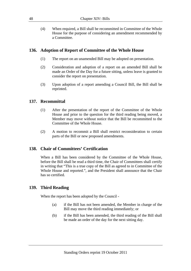(4) When required, a Bill shall be recommitted in Committee of the Whole House for the purpose of considering an amendment recommended by a Committee.

# **136. Adoption of Report of Committee of the Whole House**

- (1) The report on an unamended Bill may be adopted on presentation.
- (2) Consideration and adoption of a report on an amended Bill shall be made an Order of the Day for a future sitting, unless leave is granted to consider the report on presentation.
- (3) Upon adoption of a report amending a Council Bill, the Bill shall be reprinted.

## **137. Recommittal**

- (1) After the presentation of the report of the Committee of the Whole House and prior to the question for the third reading being moved, a Member may move without notice that the Bill be recommitted to the Committee of the Whole House.
- (2) A motion to recommit a Bill shall restrict reconsideration to certain parts of the Bill or new proposed amendments.

## **138. Chair of Committees' Certification**

When a Bill has been considered by the Committee of the Whole House, before the Bill shall be read a third time, the Chair of Committees shall certify in writing that "This is a true copy of the Bill as agreed to in Committee of the Whole House and reported.", and the President shall announce that the Chair has so certified.

# **139. Third Reading**

When the report has been adopted by the Council -

- (a) if the Bill has not been amended, the Member in charge of the Bill may move the third reading immediately; or
- (b) if the Bill has been amended, the third reading of the Bill shall be made an order of the day for the next sitting day.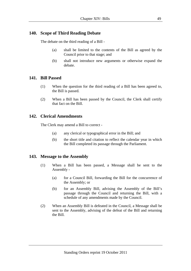# **140. Scope of Third Reading Debate**

The debate on the third reading of a Bill -

- (a) shall be limited to the contents of the Bill as agreed by the Council prior to that stage; and
- (b) shall not introduce new arguments or otherwise expand the debate.

#### **141. Bill Passed**

- (1) When the question for the third reading of a Bill has been agreed to, the Bill is passed.
- (2) When a Bill has been passed by the Council, the Clerk shall certify that fact on the Bill.

## **142. Clerical Amendments**

The Clerk may amend a Bill to correct -

- (a) any clerical or typographical error in the Bill; and
- (b) the short title and citation to reflect the calendar year in which the Bill completed its passage through the Parliament.

## **143. Message to the Assembly**

- (1) When a Bill has been passed, a Message shall be sent to the Assembly -
	- (a) for a Council Bill, forwarding the Bill for the concurrence of the Assembly; or
	- (b) for an Assembly Bill, advising the Assembly of the Bill's passage through the Council and returning the Bill, with a schedule of any amendments made by the Council.
- (2) When an Assembly Bill is defeated in the Council, a Message shall be sent to the Assembly, advising of the defeat of the Bill and returning the Bill.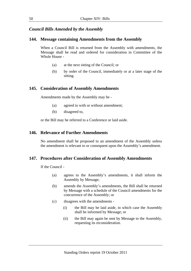# *Council Bills Amended by the Assembly*

#### **144. Message containing Amendments from the Assembly**

When a Council Bill is returned from the Assembly with amendments, the Message shall be read and ordered for consideration in Committee of the Whole House -

- (a) at the next sitting of the Council; or
- (b) by order of the Council, immediately or at a later stage of the sitting.

#### **145. Consideration of Assembly Amendments**

Amendments made by the Assembly may be -

- (a) agreed to with or without amendment;
- (b) disagreed to,

or the Bill may be referred to a Conference or laid aside.

## **146. Relevance of Further Amendments**

No amendment shall be proposed to an amendment of the Assembly unless the amendment is relevant to or consequent upon the Assembly's amendment.

## **147. Procedures after Consideration of Assembly Amendments**

If the Council -

- (a) agrees to the Assembly's amendments, it shall inform the Assembly by Message;
- (b) amends the Assembly's amendments, the Bill shall be returned by Message with a schedule of the Council amendments for the concurrence of the Assembly; or
- (c) disagrees with the amendments
	- (i) the Bill may be laid aside, in which case the Assembly shall be informed by Message; or
	- (ii) the Bill may again be sent by Message to the Assembly, requesting its reconsideration.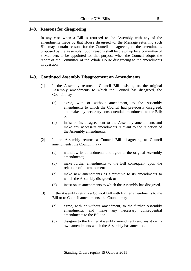#### **148. Reasons for disagreeing**

In any case when a Bill is returned to the Assembly with any of the amendments made by that House disagreed to, the Message returning such Bill may contain reasons for the Council not agreeing to the amendments proposed by the Assembly. Such reasons shall be drawn up by a committee of 3 Members to be appointed for that purpose when the Council adopts the report of the Committee of the Whole House disagreeing to the amendments in question.

## **149. Continued Assembly Disagreement on Amendments**

- (1) If the Assembly returns a Council Bill insisting on the original Assembly amendments to which the Council has disagreed, the Council may -
	- (a) agree, with or without amendment, to the Assembly amendments to which the Council had previously disagreed, and make any necessary consequential amendments to the Bill; or
	- (b) insist on its disagreement to the Assembly amendments and make any necessary amendments relevant to the rejection of the Assembly amendments.
- (2) If the Assembly returns a Council Bill disagreeing to Council amendments, the Council may -
	- (a) withdraw its amendments and agree to the original Assembly amendments;
	- (b) make further amendments to the Bill consequent upon the rejection of its amendments;
	- (c) make new amendments as alternative to its amendments to which the Assembly disagreed; or
	- (d) insist on its amendments to which the Assembly has disagreed.
- (3) If the Assembly returns a Council Bill with further amendments to the Bill or to Council amendments, the Council may -
	- (a) agree, with or without amendment, to the further Assembly amendments, and make any necessary consequential amendments to the Bill; or
	- (b) disagree to the further Assembly amendments and insist on its own amendments which the Assembly has amended.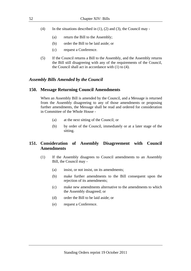- (4) In the situations described in  $(1)$ ,  $(2)$  and  $(3)$ , the Council may -
	- (a) return the Bill to the Assembly;
	- (b) order the Bill to be laid aside; or
	- (c) request a Conference.
- (5) If the Council returns a Bill to the Assembly, and the Assembly returns the Bill still disagreeing with any of the requirements of the Council, the Council shall act in accordance with (1) to (4).

#### *Assembly Bills Amended by the Council*

#### **150. Message Returning Council Amendments**

When an Assembly Bill is amended by the Council, and a Message is returned from the Assembly disagreeing to any of those amendments or proposing further amendments, the Message shall be read and ordered for consideration in Committee of the Whole House -

- (a) at the next sitting of the Council; or
- (b) by order of the Council, immediately or at a later stage of the sitting.

## **151. Consideration of Assembly Disagreement with Council Amendments**

- (1) If the Assembly disagrees to Council amendments to an Assembly Bill, the Council may -
	- (a) insist, or not insist, on its amendments;
	- (b) make further amendments to the Bill consequent upon the rejection of its amendments;
	- (c) make new amendments alternative to the amendments to which the Assembly disagreed; or
	- (d) order the Bill to be laid aside; or
	- (e) request a Conference.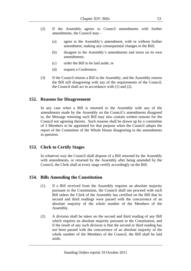- (2) If the Assembly agrees to Council amendments with further amendments, the Council may -
	- (a) agree to the Assembly's amendment, with or without further amendment, making any consequential changes to the Bill;
	- (b) disagree to the Assembly's amendments and insist on its own amendments;
	- (c) order the Bill to be laid aside; or
	- (d) request a Conference.
- (3) If the Council returns a Bill to the Assembly, and the Assembly returns the Bill still disagreeing with any of the requirements of the Council, the Council shall act in accordance with (1) and (2).

#### **152. Reasons for Disagreement**

In any case when a Bill is returned to the Assembly with any of the amendments made by the Assembly on the Council's amendments disagreed to, the Message returning such Bill may also contain written reasons for the Council not agreeing thereto. Such reasons shall be drawn up by a committee of 3 Members to be appointed for that purpose when the Council adopts the report of the Committee of the Whole House disagreeing to the amendments in question.

#### **153. Clerk to Certify Stages**

In whatever way the Council shall dispose of a Bill returned by the Assembly with amendments, or returned by the Assembly after being amended by the Council, the Clerk shall at every stage certify accordingly on the Bill.

## **154. Bills Amending the Constitution**

- (1) If a Bill received from the Assembly requires an absolute majority pursuant to the Constitution, the Council shall not proceed with such Bill unless the Clerk of the Assembly has certified on the Bill that its second and third readings were passed with the concurrence of an absolute majority of the whole number of the Members of the Assembly.
- (2) A division shall be taken on the second and third reading of any Bill which requires an absolute majority pursuant to the Constitution, and if the result of any such division is that the second or third reading has not been passed with the concurrence of an absolute majority of the whole number of the Members of the Council, the Bill shall be laid aside.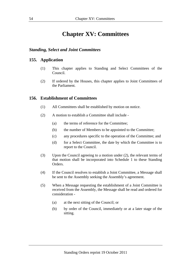# **Chapter XV: Committees**

#### *Standing, Select and Joint Committees*

#### **155. Application**

- (1) This chapter applies to Standing and Select Committees of the Council.
- (2) If ordered by the Houses, this chapter applies to Joint Committees of the Parliament.

#### **156. Establishment of Committees**

- (1) All Committees shall be established by motion on notice.
- (2) A motion to establish a Committee shall include
	- (a) the terms of reference for the Committee;
	- (b) the number of Members to be appointed to the Committee;
	- (c) any procedures specific to the operation of the Committee; and
	- (d) for a Select Committee, the date by which the Committee is to report to the Council.
- (3) Upon the Council agreeing to a motion under (2), the relevant terms of that motion shall be incorporated into Schedule 1 to these Standing Orders.
- (4) If the Council resolves to establish a Joint Committee, a Message shall be sent to the Assembly seeking the Assembly's agreement.
- (5) When a Message requesting the establishment of a Joint Committee is received from the Assembly, the Message shall be read and ordered for consideration -
	- (a) at the next sitting of the Council; or
	- (b) by order of the Council, immediately or at a later stage of the sitting.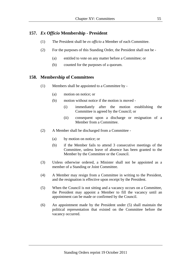# **157.** *Ex Officio* **Membership - President**

- (1) The President shall be *ex officio* a Member of each Committee.
- (2) For the purposes of this Standing Order, the President shall not be
	- (a) entitled to vote on any matter before a Committee; or
	- (b) counted for the purposes of a quorum.

#### **158. Membership of Committees**

- (1) Members shall be appointed to a Committee by
	- (a) motion on notice; or
	- (b) motion without notice if the motion is moved
		- (i) immediately after the motion establishing the Committee is agreed by the Council; or
		- (ii) consequent upon a discharge or resignation of a Member from a Committee.
- (2) A Member shall be discharged from a Committee
	- (a) by motion on notice; or
	- (b) if the Member fails to attend 3 consecutive meetings of the Committee, unless leave of absence has been granted to the Member by the Committee or the Council.
- (3) Unless otherwise ordered, a Minister shall not be appointed as a member of a Standing or Joint Committee.
- (4) A Member may resign from a Committee in writing to the President, and the resignation is effective upon receipt by the President.
- (5) When the Council is not sitting and a vacancy occurs on a Committee, the President may appoint a Member to fill the vacancy until an appointment can be made or confirmed by the Council.
- (6) An appointment made by the President under (5) shall maintain the political representation that existed on the Committee before the vacancy occurred.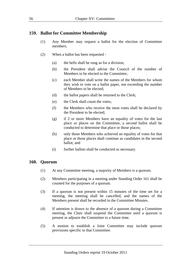#### **159. Ballot for Committee Membership**

- (1) Any Member may request a ballot for the election of Committee members.
- (2) When a ballot has been requested
	- (a) the bells shall be rung as for a division;
	- (b) the President shall advise the Council of the number of Members to be elected to the Committee;
	- (c) each Member shall write the names of the Members for whom they wish to vote on a ballot paper, not exceeding the number of Members to be elected;
	- (d) the ballot papers shall be returned to the Clerk;
	- (e) the Clerk shall count the votes;
	- (f) the Members who receive the most votes shall be declared by the President to be elected;
	- (g) if 2 or more Members have an equality of votes for the last place or places on the Committee, a second ballot shall be conducted to determine that place or those places;
	- (h) only those Members who achieved an equality of votes for that place or those places shall continue as candidates in the second ballot; and
	- (i) further ballots shall be conducted as necessary.

#### **160. Quorum**

- (1) At any Committee meeting, a majority of Members is a quorum.
- (2) Members participating in a meeting under Standing Order 161 shall be counted for the purposes of a quorum.
- (3) If a quorum is not present within 15 minutes of the time set for a meeting, the meeting shall be cancelled, and the names of the Members present shall be recorded in the Committee Minutes.
- (4) If attention is drawn to the absence of a quorum during a Committee meeting, the Chair shall suspend the Committee until a quorum is present or adjourn the Committee to a future time.
- (5) A motion to establish a Joint Committee may include quorum provisions specific to that Committee.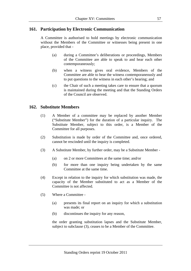# **161. Participation by Electronic Communication**

A Committee is authorised to hold meetings by electronic communication without the Members of the Committee or witnesses being present in one place, provided that -

- (a) during a Committee's deliberations or proceedings, Members of the Committee are able to speak to and hear each other contemporaneously;
- (b) when a witness gives oral evidence, Members of the Committee are able to hear the witness contemporaneously and to put questions to the witness in each other's hearing; and
- (c) the Chair of such a meeting takes care to ensure that a quorum is maintained during the meeting and that the Standing Orders of the Council are observed.

# **162. Substitute Members**

- (1) A Member of a committee may be replaced by another Member ("Substitute Member") for the duration of a particular inquiry. The Substitute Member, subject to this order, is a Member of the Committee for all purposes.
- (2) Substitution is made by order of the Committee and, once ordered, cannot be rescinded until the inquiry is completed.
- (3) A Substitute Member, by further order, may be a Substitute Member
	- (a) on 2 or more Committees at the same time; and/or
	- (b) for more than one inquiry being undertaken by the same Committee at the same time.
- (4) Except in relation to the inquiry for which substitution was made, the capacity of the Member substituted to act as a Member of the Committee is not affected.
- (5) Where a Committee
	- (a) presents its final report on an inquiry for which a substitution was made; or
	- (b) discontinues the inquiry for any reason,

 the order granting substitution lapses and the Substitute Member, subject to subclause (3), ceases to be a Member of the Committee.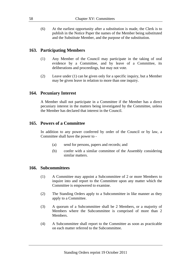(6) At the earliest opportunity after a substitution is made, the Clerk is to publish in the Notice Paper the names of the Member being substituted and the Substitute Member, and the purpose of the substitution.

# **163. Participating Members**

- (1) Any Member of the Council may participate in the taking of oral evidence by a Committee, and by leave of a Committee, its deliberations and proceedings, but may not vote.
- (2) Leave under (1) can be given only for a specific inquiry, but a Member may be given leave in relation to more than one inquiry.

#### **164. Pecuniary Interest**

A Member shall not participate in a Committee if the Member has a direct pecuniary interest in the matters being investigated by the Committee, unless the Member has declared that interest in the Council.

#### **165. Powers of a Committee**

In addition to any power conferred by order of the Council or by law, a Committee shall have the power to -

- (a) send for persons, papers and records; and
- (b) confer with a similar committee of the Assembly considering similar matters.

#### **166. Subcommittees**

- (1) A Committee may appoint a Subcommittee of 2 or more Members to inquire into and report to the Committee upon any matter which the Committee is empowered to examine.
- (2) The Standing Orders apply to a Subcommittee in like manner as they apply to a Committee.
- (3) A quorum of a Subcommittee shall be 2 Members, or a majority of Members where the Subcommittee is comprised of more than 2 Members.
- (4) A Subcommittee shall report to the Committee as soon as practicable on each matter referred to the Subcommittee.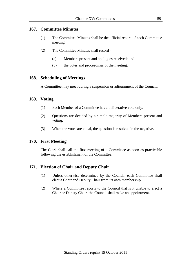# **167. Committee Minutes**

- (1) The Committee Minutes shall be the official record of each Committee meeting.
- (2) The Committee Minutes shall record
	- (a) Members present and apologies received; and
	- (b) the votes and proceedings of the meeting.

# **168. Scheduling of Meetings**

A Committee may meet during a suspension or adjournment of the Council.

## **169. Voting**

- (1) Each Member of a Committee has a deliberative vote only.
- (2) Questions are decided by a simple majority of Members present and voting.
- (3) When the votes are equal, the question is resolved in the negative.

# **170. First Meeting**

The Clerk shall call the first meeting of a Committee as soon as practicable following the establishment of the Committee.

# **171. Election of Chair and Deputy Chair**

- (1) Unless otherwise determined by the Council, each Committee shall elect a Chair and Deputy Chair from its own membership.
- (2) Where a Committee reports to the Council that is it unable to elect a Chair or Deputy Chair, the Council shall make an appointment.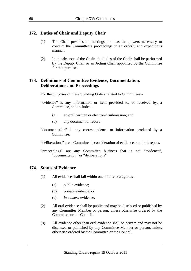## **172. Duties of Chair and Deputy Chair**

- (1) The Chair presides at meetings and has the powers necessary to conduct the Committee's proceedings in an orderly and expeditious manner.
- (2) In the absence of the Chair, the duties of the Chair shall be performed by the Deputy Chair or an Acting Chair appointed by the Committee for that purpose.

# **173. Definitions of Committee Evidence, Documentation, Deliberations and Proceedings**

For the purposes of these Standing Orders related to Committees -

- "evidence" is any information or item provided to, or received by, a Committee, and includes -
	- (a) an oral, written or electronic submission; and
	- (b) any document or record.
- "documentation" is any correspondence or information produced by a Committee.

"deliberations" are a Committee's consideration of evidence or a draft report.

"proceedings" are any Committee business that is not "evidence", "documentation" or "deliberations".

## **174. Status of Evidence**

- (1) All evidence shall fall within one of three categories
	- (a) public evidence;
	- (b) private evidence; or
	- (c) *in camera* evidence.
- (2) All oral evidence shall be public and may be disclosed or published by any Committee Member or person, unless otherwise ordered by the Committee or the Council.
- (3) All evidence other than oral evidence shall be private and may not be disclosed or published by any Committee Member or person, unless otherwise ordered by the Committee or the Council.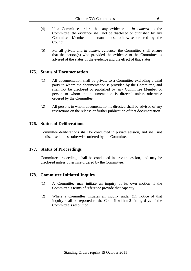- (4) If a Committee orders that any evidence is *in camera* to the Committee, the evidence shall not be disclosed or published by any Committee Member or person unless otherwise ordered by the Council.
- (5) For all private and *in camera* evidence, the Committee shall ensure that the person(s) who provided the evidence to the Committee is advised of the status of the evidence and the effect of that status.

#### **175. Status of Documentation**

- (1) All documentation shall be private to a Committee excluding a third party to whom the documentation is provided by the Committee, and shall not be disclosed or published by any Committee Member or person to whom the documentation is directed unless otherwise ordered by the Committee.
- (2) All persons to whom documentation is directed shall be advised of any restrictions on the release or further publication of that documentation.

#### **176. Status of Deliberations**

Committee deliberations shall be conducted in private session, and shall not be disclosed unless otherwise ordered by the Committee.

#### **177. Status of Proceedings**

Committee proceedings shall be conducted in private session, and may be disclosed unless otherwise ordered by the Committee.

## **178. Committee Initiated Inquiry**

- (1) A Committee may initiate an inquiry of its own motion if the Committee's terms of reference provide that capacity.
- (2) Where a Committee initiates an inquiry under (1), notice of that inquiry shall be reported to the Council within 2 sitting days of the Committee's resolution.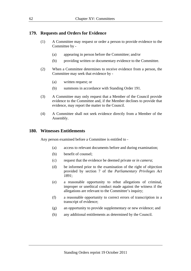## **179. Requests and Orders for Evidence**

- (1) A Committee may request or order a person to provide evidence to the Committee by -
	- (a) appearing in person before the Committee; and/or
	- (b) providing written or documentary evidence to the Committee.
- (2) When a Committee determines to receive evidence from a person, the Committee may seek that evidence by -
	- (a) written request; or
	- (b) summons in accordance with Standing Order 191.
- (3) A Committee may only request that a Member of the Council provide evidence to the Committee and, if the Member declines to provide that evidence, may report the matter to the Council.
- (4) A Committee shall not seek evidence directly from a Member of the Assembly.

#### **180. Witnesses Entitlements**

Any person examined before a Committee is entitled to -

- (a) access to relevant documents before and during examination;
- (b) benefit of counsel;
- (c) request that the evidence be deemed private or *in camera*;
- (d) be informed prior to the examination of the right of objection provided by section 7 of the *Parliamentary Privileges Act 1891*;
- (e) a reasonable opportunity to rebut allegations of criminal, improper or unethical conduct made against the witness if the allegations are relevant to the Committee's inquiry;
- (f) a reasonable opportunity to correct errors of transcription in a transcript of evidence;
- (g) an opportunity to provide supplementary or new evidence; and
- (h) any additional entitlements as determined by the Council.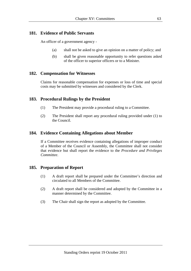# **181. Evidence of Public Servants**

An officer of a government agency -

- (a) shall not be asked to give an opinion on a matter of policy; and
- (b) shall be given reasonable opportunity to refer questions asked of the officer to superior officers or to a Minister.

# **182. Compensation for Witnesses**

Claims for reasonable compensation for expenses or loss of time and special costs may be submitted by witnesses and considered by the Clerk.

# **183. Procedural Rulings by the President**

- (1) The President may provide a procedural ruling to a Committee.
- (2) The President shall report any procedural ruling provided under (1) to the Council.

# **184. Evidence Containing Allegations about Member**

If a Committee receives evidence containing allegations of improper conduct of a Member of the Council or Assembly, the Committee shall not consider that evidence but shall report the evidence to the *Procedure and Privileges Committee*.

# **185. Preparation of Report**

- (1) A draft report shall be prepared under the Committee's direction and circulated to all Members of the Committee.
- (2) A draft report shall be considered and adopted by the Committee in a manner determined by the Committee.
- (3) The Chair shall sign the report as adopted by the Committee.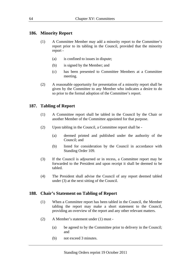### **186. Minority Report**

- (1) A Committee Member may add a minority report to the Committee's report prior to its tabling in the Council, provided that the minority report -
	- (a) is confined to issues in dispute;
	- (b) is signed by the Member; and
	- (c) has been presented to Committee Members at a Committee meeting.
- (2) A reasonable opportunity for presentation of a minority report shall be given by the Committee to any Member who indicates a desire to do so prior to the formal adoption of the Committee's report.

### **187. Tabling of Report**

- (1) A Committee report shall be tabled in the Council by the Chair or another Member of the Committee appointed for that purpose.
- (2) Upon tabling in the Council, a Committee report shall be
	- (a) deemed printed and published under the authority of the Council; and
	- (b) listed for consideration by the Council in accordance with Standing Order 109.
- (3) If the Council is adjourned or in recess, a Committee report may be forwarded to the President and upon receipt it shall be deemed to be tabled.
- (4) The President shall advise the Council of any report deemed tabled under (3) at the next sitting of the Council.

### **188. Chair's Statement on Tabling of Report**

- (1) When a Committee report has been tabled in the Council, the Member tabling the report may make a short statement to the Council, providing an overview of the report and any other relevant matters.
- (2) A Member's statement under (1) must
	- (a) be agreed to by the Committee prior to delivery in the Council; and
	- (b) not exceed 3 minutes.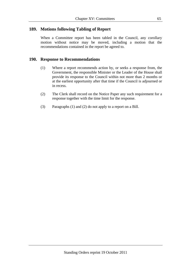# **189. Motions following Tabling of Report**

When a Committee report has been tabled in the Council, any corollary motion without notice may be moved, including a motion that the recommendations contained in the report be agreed to.

## **190. Response to Recommendations**

- (1) Where a report recommends action by, or seeks a response from, the Government, the responsible Minister or the Leader of the House shall provide its response to the Council within not more than 2 months or at the earliest opportunity after that time if the Council is adjourned or in recess.
- (2) The Clerk shall record on the Notice Paper any such requirement for a response together with the time limit for the response.
- (3) Paragraphs (1) and (2) do not apply to a report on a Bill.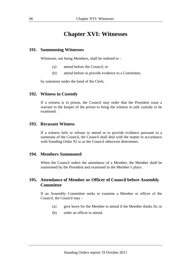# **Chapter XVI: Witnesses**

#### **191. Summoning Witnesses**

Witnesses, not being Members, shall be ordered to -

- (a) attend before the Council; or
- (b) attend before or provide evidence to a Committee,

by summons under the hand of the Clerk.

#### **192. Witness in Custody**

If a witness is in prison, the Council may order that the President issue a warrant to the keeper of the prison to bring the witness in safe custody to be examined.

### **193. Recusant Witness**

If a witness fails or refuses to attend or to provide evidence pursuant to a summons of the Council, the Council shall deal with the matter in accordance with Standing Order 92 or as the Council otherwise determines.

### **194. Members Summoned**

When the Council orders the attendance of a Member, the Member shall be summoned by the President and examined in the Member's place.

# **195. Attendance of Member or Officer of Council before Assembly Committee**

If an Assembly Committee seeks to examine a Member or officer of the Council, the Council may -

- (a) give leave for the Member to attend if the Member thinks fit; or
- (b) order an officer to attend.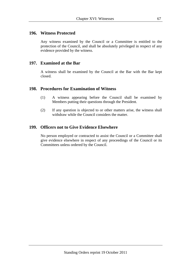### **196. Witness Protected**

Any witness examined by the Council or a Committee is entitled to the protection of the Council, and shall be absolutely privileged in respect of any evidence provided by the witness.

### **197. Examined at the Bar**

A witness shall be examined by the Council at the Bar with the Bar kept closed.

### **198. Procedures for Examination of Witness**

- (1) A witness appearing before the Council shall be examined by Members putting their questions through the President.
- (2) If any question is objected to or other matters arise, the witness shall withdraw while the Council considers the matter.

### **199. Officers not to Give Evidence Elsewhere**

No person employed or contracted to assist the Council or a Committee shall give evidence elsewhere in respect of any proceedings of the Council or its Committees unless ordered by the Council.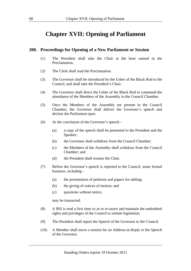# **Chapter XVII: Opening of Parliament**

#### **200. Proceedings for Opening of a New Parliament or Session**

- (1) The President shall take the Chair at the hour named in the Proclamation.
- (2) The Clerk shall read the Proclamation.
- (3) The Governor shall be introduced by the Usher of the Black Rod to the Council, and shall take the President's Chair.
- (4) The Governor shall direct the Usher of the Black Rod to command the attendance of the Members of the Assembly in the Council Chamber.
- (5) Once the Members of the Assembly are present in the Council Chamber, the Governor shall deliver the Governor's speech and declare the Parliament open.
- (6) At the conclusion of the Governor's speech
	- (a) a copy of the speech shall be presented to the President and the Speaker;
	- (b) the Governor shall withdraw from the Council Chamber;
	- (c) the Members of the Assembly shall withdraw from the Council Chamber; and
	- (d) the President shall resume the Chair.
- (7) Before the Governor's speech is reported to the Council, some formal business, including -
	- (a) the presentation of petitions and papers for tabling;
	- (b) the giving of notices of motion; and
	- (c) questions without notice,

may be transacted.

- (8) A Bill is read a first time so as to re-assert and maintain the undoubted rights and privileges of the Council to initiate legislation.
- (9) The President shall report the Speech of the Governor to the Council.
- (10) A Member shall move a motion for an Address-in-Reply to the Speech of the Governor.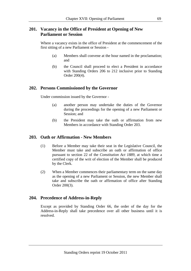# **201. Vacancy in the Office of President at Opening of New Parliament or Session**

Where a vacancy exists in the office of President at the commencement of the first sitting of a new Parliament or Session -

- (a) Members shall convene at the hour named in the proclamation; and
- (b) the Council shall proceed to elect a President in accordance with Standing Orders 206 to 212 inclusive prior to Standing Order 200(4).

### **202. Persons Commissioned by the Governor**

Under commission issued by the Governor -

- (a) another person may undertake the duties of the Governor during the proceedings for the opening of a new Parliament or Session; and
- (b) the President may take the oath or affirmation from new Members in accordance with Standing Order 203.

### **203. Oath or Affirmation - New Members**

- (1) Before a Member may take their seat in the Legislative Council, the Member must take and subscribe an oath or affirmation of office pursuant to section 22 of the *Constitution Act 1889*, at which time a certified copy of the writ of election of the Member shall be produced by the Clerk.
- (2) When a Member commences their parliamentary term on the same day as the opening of a new Parliament or Session, the new Member shall take and subscribe the oath or affirmation of office after Standing Order 200(3).

### **204. Precedence of Address-in-Reply**

Except as provided by Standing Order 66, the order of the day for the Address-in-Reply shall take precedence over all other business until it is resolved.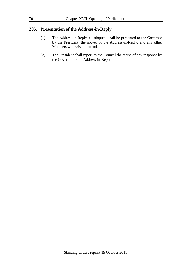### **205. Presentation of the Address-in-Reply**

- (1) The Address-in-Reply, as adopted, shall be presented to the Governor by the President, the mover of the Address-in-Reply, and any other Members who wish to attend.
- (2) The President shall report to the Council the terms of any response by the Governor to the Address-in-Reply.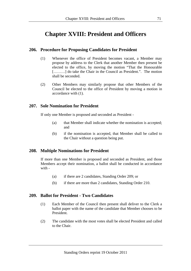# **Chapter XVIII: President and Officers**

# **206. Procedure for Proposing Candidates for President**

- (1) Whenever the office of President becomes vacant, a Member may propose by address to the Clerk that another Member then present be elected to the office, by moving the motion "That the Honourable [........] do take the Chair in the Council as President.". The motion shall be seconded.
- (2) Other Members may similarly propose that other Members of the Council be elected to the office of President by moving a motion in accordance with (1).

## **207. Sole Nomination for President**

If only one Member is proposed and seconded as President -

- (a) that Member shall indicate whether the nomination is accepted; and
- (b) if the nomination is accepted, that Member shall be called to the Chair without a question being put.

# **208. Multiple Nominations for President**

If more than one Member is proposed and seconded as President, and those Members accept their nomination, a ballot shall be conducted in accordance with -

- (a) if there are 2 candidates, Standing Order 209; or
- (b) if there are more than 2 candidates, Standing Order 210.

### **209. Ballot for President - Two Candidates**

- (1) Each Member of the Council then present shall deliver to the Clerk a ballot paper with the name of the candidate that Member chooses to be President.
- (2) The candidate with the most votes shall be elected President and called to the Chair.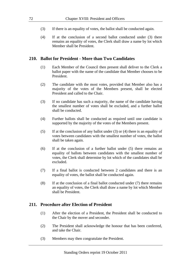- (3) If there is an equality of votes, the ballot shall be conducted again.
- (4) If at the conclusion of a second ballot conducted under (3) there remains an equality of votes, the Clerk shall draw a name by lot which Member shall be President.

### **210. Ballot for President - More than Two Candidates**

- (1) Each Member of the Council then present shall deliver to the Clerk a ballot paper with the name of the candidate that Member chooses to be President.
- (2) The candidate with the most votes, provided that Member also has a majority of the votes of the Members present, shall be elected President and called to the Chair.
- (3) If no candidate has such a majority, the name of the candidate having the smallest number of votes shall be excluded, and a further ballot shall be conducted.
- (4) Further ballots shall be conducted as required until one candidate is supported by the majority of the votes of the Members present.
- (5) If at the conclusion of any ballot under (3) or (4) there is an equality of votes between candidates with the smallest number of votes, the ballot shall be taken again.
- (6) If at the conclusion of a further ballot under (5) there remains an equality of ballots between candidates with the smallest number of votes, the Clerk shall determine by lot which of the candidates shall be excluded.
- (7) If a final ballot is conducted between 2 candidates and there is an equality of votes, the ballot shall be conducted again.
- (8) If at the conclusion of a final ballot conducted under (7) there remains an equality of votes, the Clerk shall draw a name by lot which Member shall be President.

### **211. Procedure after Election of President**

- (1) After the election of a President, the President shall be conducted to the Chair by the mover and seconder.
- (2) The President shall acknowledge the honour that has been conferred, and take the Chair.
- (3) Members may then congratulate the President.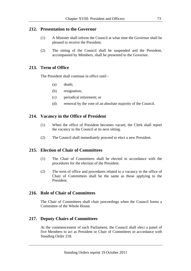### **212. Presentation to the Governor**

- (1) A Minister shall inform the Council at what time the Governor shall be pleased to receive the President.
- (2) The sitting of the Council shall be suspended and the President, accompanied by Members, shall be presented to the Governor.

### **213. Term of Office**

The President shall continue in office until -

- (a) death;
- (b) resignation;
- (c) periodical retirement; or
- (d) removal by the vote of an absolute majority of the Council.

### **214. Vacancy in the Office of President**

- (1) When the office of President becomes vacant, the Clerk shall report the vacancy to the Council at its next sitting.
- (2) The Council shall immediately proceed to elect a new President.

### **215. Election of Chair of Committees**

- (1) The Chair of Committees shall be elected in accordance with the procedures for the election of the President.
- (2) The term of office and procedures related to a vacancy in the office of Chair of Committees shall be the same as those applying to the President.

### **216. Role of Chair of Committees**

The Chair of Committees shall chair proceedings when the Council forms a Committee of the Whole House.

### **217. Deputy Chairs of Committees**

At the commencement of each Parliament, the Council shall elect a panel of five Members to act as President or Chair of Committees in accordance with Standing Order 218.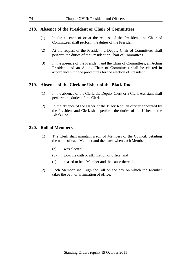### **218. Absence of the President or Chair of Committees**

- (1) In the absence of or at the request of the President, the Chair of Committees shall perform the duties of the President.
- (2) At the request of the President, a Deputy Chair of Committees shall perform the duties of the President or Chair of Committees.
- (3) In the absence of the President and the Chair of Committees, an Acting President and an Acting Chair of Committees shall be elected in accordance with the procedures for the election of President.

### **219. Absence of the Clerk or Usher of the Black Rod**

- (1) In the absence of the Clerk, the Deputy Clerk or a Clerk Assistant shall perform the duties of the Clerk.
- (2) In the absence of the Usher of the Black Rod, an officer appointed by the President and Clerk shall perform the duties of the Usher of the Black Rod.

### **220. Roll of Members**

- (1) The Clerk shall maintain a roll of Members of the Council, detailing the name of each Member and the dates when each Member -
	- (a) was elected;
	- (b) took the oath or affirmation of office; and
	- (c) ceased to be a Member and the cause thereof.
- (2) Each Member shall sign the roll on the day on which the Member takes the oath or affirmation of office.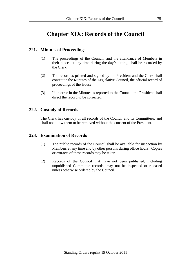# **Chapter XIX: Records of the Council**

## **221. Minutes of Proceedings**

- (1) The proceedings of the Council, and the attendance of Members in their places at any time during the day's sitting, shall be recorded by the Clerk.
- (2) The record as printed and signed by the President and the Clerk shall constitute the Minutes of the Legislative Council, the official record of proceedings of the House.
- (3) If an error in the Minutes is reported to the Council, the President shall direct the record to be corrected.

### **222. Custody of Records**

The Clerk has custody of all records of the Council and its Committees, and shall not allow them to be removed without the consent of the President.

### **223. Examination of Records**

- (1) The public records of the Council shall be available for inspection by Members at any time and by other persons during office hours. Copies or extracts of these records may be taken.
- (2) Records of the Council that have not been published, including unpublished Committee records, may not be inspected or released unless otherwise ordered by the Council.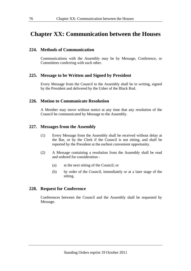# **Chapter XX: Communication between the Houses**

### **224. Methods of Communication**

Communications with the Assembly may be by Message, Conference, or Committees conferring with each other.

#### **225. Message to be Written and Signed by President**

Every Message from the Council to the Assembly shall be in writing, signed by the President and delivered by the Usher of the Black Rod.

### **226. Motion to Communicate Resolution**

A Member may move without notice at any time that any resolution of the Council be communicated by Message to the Assembly.

#### **227. Messages from the Assembly**

- (1) Every Message from the Assembly shall be received without delay at the Bar, or by the Clerk if the Council is not sitting, and shall be reported by the President at the earliest convenient opportunity.
- (2) A Message containing a resolution from the Assembly shall be read and ordered for consideration -
	- (a) at the next sitting of the Council; or
	- (b) by order of the Council, immediately or at a later stage of the sitting.

#### **228. Request for Conference**

Conferences between the Council and the Assembly shall be requested by Message.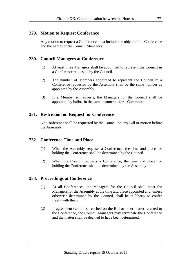## **229. Motion to Request Conference**

Any motion to request a Conference must include the object of the Conference and the names of the Council Managers.

## **230. Council Managers at Conference**

- (1) At least three Managers shall be appointed to represent the Council in a Conference requested by the Council.
- (2) The number of Members appointed to represent the Council in a Conference requested by the Assembly shall be the same number as appointed by the Assembly.
- (3) If a Member so requests, the Managers for the Council shall be appointed by ballot, in the same manner as for a Committee.

## **231. Restriction on Request for Conference**

No Conference shall be requested by the Council on any Bill or motion before the Assembly.

## **232. Conference Time and Place**

- (1) When the Assembly requests a Conference, the time and place for holding the Conference shall be determined by the Council.
- (2) When the Council requests a Conference, the time and place for holding the Conference shall be determined by the Assembly.

### **233. Proceedings at Conference**

- (1) At all Conferences, the Managers for the Council shall meet the Managers for the Assembly at the time and place appointed and, unless otherwise determined by the Council, shall be at liberty to confer freely with them.
- (2) If agreement cannot be reached on the Bill or other matter referred to the Conference, the Council Managers may terminate the Conference and the matter shall be deemed to have been determined.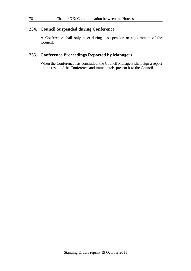## **234. Council Suspended during Conference**

A Conference shall only meet during a suspension or adjournment of the Council.

# **235. Conference Proceedings Reported by Managers**

When the Conference has concluded, the Council Managers shall sign a report on the result of the Conference and immediately present it to the Council.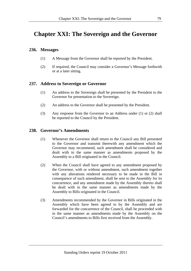# **Chapter XXI: The Sovereign and the Governor**

### **236. Messages**

- (1) A Message from the Governor shall be reported by the President.
- (2) If required, the Council may consider a Governor's Message forthwith or at a later sitting.

## **237. Address to Sovereign or Governor**

- (1) An address to the Sovereign shall be presented by the President to the Governor for presentation to the Sovereign.
- (2) An address to the Governor shall be presented by the President.
- (3) Any response from the Governor to an Address under (1) or (2) shall be reported to the Council by the President.

## **238. Governor's Amendments**

- (1) Whenever the Governor shall return to the Council any Bill presented to the Governor and transmit therewith any amendment which the Governor may recommend, such amendment shall be considered and dealt with in the same manner as amendments proposed by the Assembly to a Bill originated in the Council.
- (2) When the Council shall have agreed to any amendment proposed by the Governor, with or without amendment, such amendment together with any alterations rendered necessary to be made in the Bill in consequence of such amendment, shall be sent to the Assembly for its concurrence, and any amendment made by the Assembly thereto shall be dealt with in the same manner as amendments made by the Assembly to Bills originated in the Council.
- (3) Amendments recommended by the Governor in Bills originated in the Assembly which have been agreed to by the Assembly and are forwarded for the concurrence of the Council, shall be proceeded with in the same manner as amendments made by the Assembly on the Council's amendments to Bills first received from the Assembly.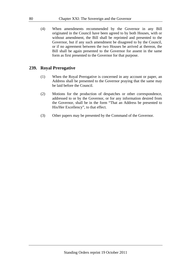(4) When amendments recommended by the Governor in any Bill originated in the Council have been agreed to by both Houses, with or without amendment, the Bill shall be reprinted and presented to the Governor, but if any such amendment be disagreed to by the Council, or if no agreement between the two Houses be arrived at thereon, the Bill shall be again presented to the Governor for assent in the same form as first presented to the Governor for that purpose.

### **239. Royal Prerogative**

- (1) When the Royal Prerogative is concerned in any account or paper, an Address shall be presented to the Governor praying that the same may be laid before the Council.
- (2) Motions for the production of despatches or other correspondence, addressed to or by the Governor, or for any information desired from the Governor, shall be in the form "That an Address be presented to His/Her Excellency", to that effect.
- (3) Other papers may be presented by the Command of the Governor.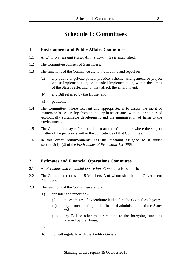# **Schedule 1: Committees**

### **1. Environment and Public Affairs Committee**

- 1.1 An *Environment and Public Affairs Committee* is established.
- 1.2 The Committee consists of 5 members.
- 1.3 The functions of the Committee are to inquire into and report on
	- (a) any public or private policy, practice, scheme, arrangement, or project whose implementation, or intended implementation, within the limits of the State is affecting, or may affect, the environment;
	- (b) any Bill referred by the House; and
	- (c) petitions.
- 1.4 The Committee, where relevant and appropriate, is to assess the merit of matters or issues arising from an inquiry in accordance with the principles of ecologically sustainable development and the minimisation of harm to the environment.
- 1.5 The Committee may refer a petition to another Committee where the subject matter of the petition is within the competence of that Committee.
- 1.6 In this order "**environment**" has the meaning assigned to it under section 3(1), (2) of the *Environmental Protection Act 1986*.

# **2. Estimates and Financial Operations Committee**

- 2.1 An *Estimates and Financial Operations Committee* is established.
- 2.2 The Committee consists of 5 Members, 3 of whom shall be non-Government Members.
- 2.3 The functions of the Committee are to
	- (a) consider and report on
		- (i) the estimates of expenditure laid before the Council each year;
		- (ii) any matter relating to the financial administration of the State; and
		- (iii) any Bill or other matter relating to the foregoing functions referred by the House;

and

(b) consult regularly with the Auditor General.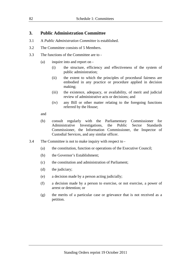## **3. Public Administration Committee**

- 3.1 A *Public Administration Committee* is established.
- 3.2 The Committee consists of 5 Members.
- 3.3 The functions of the Committee are to
	- (a) inquire into and report on
		- (i) the structure, efficiency and effectiveness of the system of public administration;
		- (ii) the extent to which the principles of procedural fairness are embodied in any practice or procedure applied in decision making;
		- (iii) the existence, adequacy, or availability, of merit and judicial review of administrative acts or decisions; and
		- (iv) any Bill or other matter relating to the foregoing functions referred by the House;

and

- (b) consult regularly with the Parliamentary Commissioner for Administrative Investigations, the Public Sector Standards Commissioner, the Information Commissioner, the Inspector of Custodial Services, and any similar officer.
- 3.4 The Committee is not to make inquiry with respect to
	- (a) the constitution, function or operations of the Executive Council;
	- (b) the Governor's Establishment;
	- (c) the constitution and administration of Parliament;
	- (d) the judiciary;
	- (e) a decision made by a person acting judicially;
	- (f) a decision made by a person to exercise, or not exercise, a power of arrest or detention; or
	- (g) the merits of a particular case or grievance that is not received as a petition.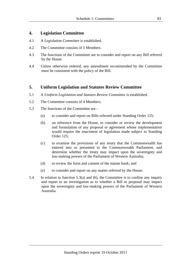### **4. Legislation Committee**

- 4.1 A *Legislation Committee* is established.
- 4.2 The Committee consists of 5 Members.
- 4.3 The functions of the Committee are to consider and report on any Bill referred by the House.
- 4.4 Unless otherwise ordered, any amendment recommended by the Committee must be consistent with the policy of the Bill.

## **5. Uniform Legislation and Statutes Review Committee**

- 5.1 A *Uniform Legislation and Statutes Review Committee* is established.
- 5.2 The Committee consists of 4 Members.
- 5.3 The functions of the Committee are
	- (a) to consider and report on Bills referred under Standing Order 125;
	- (b) on reference from the House, to consider or review the development and formulation of any proposal or agreement whose implementation would require the enactment of legislation made subject to Standing Order 125;
	- (c) to examine the provisions of any treaty that the Commonwealth has entered into or presented to the Commonwealth Parliament, and determine whether the treaty may impact upon the sovereignty and law-making powers of the Parliament of Western Australia;
	- (d) to review the form and content of the statute book; and
	- (e) to consider and report on any matter referred by the House.
- 5.4 In relation to function 5.3(a) and (b), the Committee is to confine any inquiry and report to an investigation as to whether a Bill or proposal may impact upon the sovereignty and law-making powers of the Parliament of Western Australia.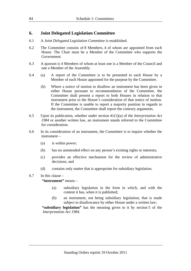### **6. Joint Delegated Legislation Committee**

- 6.1 A *Joint Delegated Legislation Committee* is established.
- 6.2 The Committee consists of 8 Members, 4 of whom are appointed from each House. The Chair must be a Member of the Committee who supports the Government.
- 6.3 A quorum is 4 Members of whom at least one is a Member of the Council and one a Member of the Assembly.
- 6.4 (a) A report of the Committee is to be presented to each House by a Member of each House appointed for the purpose by the Committee.
	- (b) Where a notice of motion to disallow an instrument has been given in either House pursuant to recommendation of the Committee, the Committee shall present a report to both Houses in relation to that instrument prior to the House's consideration of that notice of motion. If the Committee is unable to report a majority position in regards to the instrument, the Committee shall report the contrary arguments.
- 6.5 Upon its publication, whether under section 41(1)(a) of the *Interpretation Act 1984* or another written law, an instrument stands referred to the Committee for consideration.
- 6.6 In its consideration of an instrument, the Committee is to inquire whether the instrument –
	- (a) is within power;
	- (b) has no unintended effect on any person's existing rights or interests;
	- (c) provides an effective mechanism for the review of administrative decisions; and
	- (d) contains only matter that is appropriate for subsidiary legislation.

### 6.7 In this clause –

#### **"instrument"** means –

- (a) subsidiary legislation in the form in which, and with the content it has, when it is published;
- (b) an instrument, not being subsidiary legislation, that is made subject to disallowance by either House under a written law;

**"subsidiary legislation"** has the meaning given to it by section 5 of the *Interpretation Act 1984*.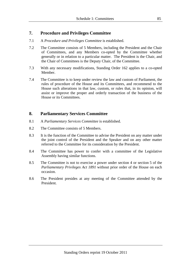## **7. Procedure and Privileges Committee**

- 7.1 A *Procedure and Privileges Committee* is established.
- 7.2 The Committee consists of 5 Members, including the President and the Chair of Committees, and any Members co-opted by the Committee whether generally or in relation to a particular matter. The President is the Chair, and the Chair of Committees is the Deputy Chair, of the Committee.
- 7.3 With any necessary modifications, Standing Order 162 applies to a co-opted Member.
- 7.4 The Committee is to keep under review the law and custom of Parliament, the rules of procedure of the House and its Committees, and recommend to the House such alterations in that law, custom, or rules that, in its opinion, will assist or improve the proper and orderly transaction of the business of the House or its Committees.

# **8. Parliamentary Services Committee**

- 8.1 A *Parliamentary Services Committee* is established.
- 8.2 The Committee consists of 5 Members.
- 8.3 It is the function of the Committee to advise the President on any matter under the joint control of the President and the Speaker and on any other matter referred to the Committee for its consideration by the President.
- 8.4 The Committee has power to confer with a committee of the Legislative Assembly having similar functions.
- 8.5 The Committee is not to exercise a power under section 4 or section 5 of the *Parliamentary Privileges Act 1891* without prior order of the House on each occasion.
- 8.6 The President presides at any meeting of the Committee attended by the President.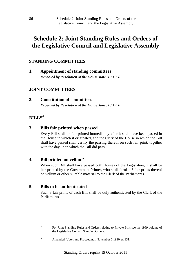# **Schedule 2: Joint Standing Rules and Orders of the Legislative Council and Legislative Assembly**

# **STANDING COMMITTEES**

**1. Appointment of standing committees**  *Repealed by Resolution of the House June, 10 1998* 

# **JOINT COMMITTEES**

**2. Constitution of committees**  *Repealed by Resolution of the House June, 10 1998* 

# **BILLS<sup>4</sup>**

-

4

# **3. Bills fair printed when passed**

Every Bill shall be fair printed immediately after it shall have been passed in the House in which it originated, and the Clerk of the House in which the Bill shall have passed shall certify the passing thereof on such fair print, together with the day upon which the Bill did pass.

# **4. Bill printed on vellum<sup>5</sup>**

When such Bill shall have passed both Houses of the Legislature, it shall be fair printed by the Government Printer, who shall furnish 3 fair prints thereof on vellum or other suitable material to the Clerk of the Parliaments.

# **5. Bills to be authenticated**

Such 3 fair prints of each Bill shall be duly authenticated by the Clerk of the Parliaments.

5 Amended, Votes and Proceedings November 6 1930, p. 131.

For Joint Standing Rules and Orders relating to Private Bills see the 1969 volume of the Legislative Council Standing Orders.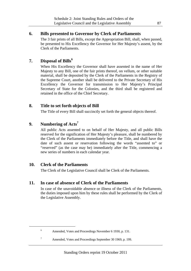## **6. Bills presented to Governor by Clerk of Parliaments**

The 3 fair prints of all Bills, except the Appropriation Bill, shall, when passed, be presented to His Excellency the Governor for Her Majesty's assent, by the Clerk of the Parliaments.

# **7. Disposal of Bills<sup>6</sup>**

When His Excellency the Governor shall have assented in the name of Her Majesty to any Bill, one of the fair prints thereof, on vellum, or other suitable material, shall be deposited by the Clerk of the Parliaments in the Registry of the Supreme Court, another shall be delivered to the Private Secretary of His Excellency the Governor for transmission to Her Majesty's Principal Secretary of State for the Colonies, and the third shall be registered and retained in the office of the Chief Secretary.

# **8. Title to set forth objects of Bill**

The Title of every Bill shall succinctly set forth the general objects thereof.

# **9. Numbering of Acts<sup>7</sup>**

All public Acts assented to on behalf of Her Majesty, and all public Bills reserved for the signification of Her Majesty's pleasure, shall be numbered by the Clerk of the Parliaments immediately before the Title, and shall have the date of such assent or reservation following the words "assented to" or "reserved" (as the case may be) immediately after the Title, commencing a new series of numbers in each calendar year.

# **10. Clerk of the Parliaments**

The Clerk of the Legislative Council shall be Clerk of the Parliaments.

# **11. In case of absence of Clerk of the Parliaments**

In case of the unavoidable absence or illness of the Clerk of the Parliaments, the duties imposed upon him by these rules shall be performed by the Clerk of the Legislative Assembly.

7

1

- - Amended, Votes and Proceedings September 30 1969, p. 199.

<sup>6</sup> Amended, Votes and Proceedings November 6 1930, p. 131.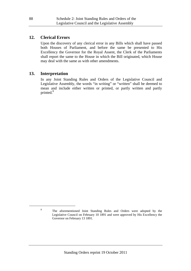### **12. Clerical Errors**

Upon the discovery of any clerical error in any Bills which shall have passed both Houses of Parliament, and before the same be presented to His Excellency the Governor for the Royal Assent, the Clerk of the Parliaments shall report the same to the House in which the Bill originated, which House may deal with the same as with other amendments.

### **13. Interpretation**

In any Joint Standing Rules and Orders of the Legislative Council and Legislative Assembly, the words "in writing" or "written" shall be deemed to mean and include either written or printed, or partly written and partly printed.<sup>8</sup>

1

<sup>8</sup> The aforementioned Joint Standing Rules and Orders were adopted by the Legislative Council on February 10 1891 and were approved by His Excellency the Governor on February 13 1891.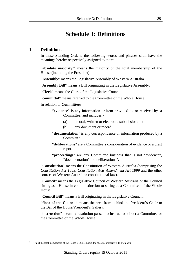# **Schedule 3: Definitions**

### **1. Definitions**

In these Standing Orders, the following words and phrases shall have the meanings hereby respectively assigned to them:

"absolute majority"<sup>9</sup> means the majority of the total membership of the House (including the President).

"**Assembly**" means the Legislative Assembly of Western Australia.

"**Assembly Bill**" means a Bill originating in the Legislative Assembly.

"**Clerk**" means the Clerk of the Legislative Council.

"**committal**" means referred to the Committee of the Whole House.

In relation to **Committees** -

"**evidence**" is any information or item provided to, or received by, a Committee, and includes -

- (a) an oral, written or electronic submission; and
- (b) any document or record.
- "**documentation**" is any correspondence or information produced by a Committee.
- "**deliberations**" are a Committee's consideration of evidence or a draft report.
- "**proceedings**" are any Committee business that is not "evidence", "documentation" or "deliberations".

"**Constitution**" means the Constitution of Western Australia (comprising the *Constitution Act 1889*, *Constitution Acts Amendment Act 1899* and the other sources of Western Australian constitutional law).

"**Council**" means the Legislative Council of Western Australia or the Council sitting as a House in contradistinction to sitting as a Committee of the Whole House.

"**Council Bill**" means a Bill originating in the Legislative Council.

"**floor of the Council**" means the area from behind the President's Chair to the Bar of the House/President's Gallery.

"**instruction**" means a resolution passed to instruct or direct a Committee or the Committee of the Whole House.

1

whilst the total membership of the House is 36 Members, the absolute majority is 19 Members.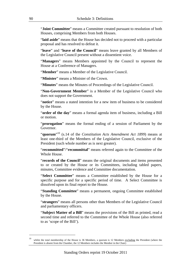"**Joint Committee**" means a Committee created pursuant to resolution of both Houses, comprising Members from both Houses.

"**laid aside**" means that the House has decided not to proceed with a particular proposal and has resolved to defeat it.

"**leave**" and "**leave of the Council**" means leave granted by all Members of the Legislative Council present without a dissentient voice.

"**Managers**" means Members appointed by the Council to represent the House at a Conference of Managers.

"**Member**" means a Member of the Legislative Council.

"**Minister**" means a Minister of the Crown.

"**Minutes**" means the Minutes of Proceedings of the Legislative Council.

"**Non-Government Member**" is a Member of the Legislative Council who does not support the Government.

"**notice**" means a stated intention for a new item of business to be considered by the House.

"**order of the day**" means a formal agenda item of business, including a Bill or motion.

"**prorogation**" means the formal ending of a session of Parliament by the Governor.

"**quorum**"<sup>10</sup> (s.14 of the *Constitution Acts Amendment Act 1899*) means at least one-third of the Members of the Legislative Council, exclusive of the President (such whole number as is next greater).

"**recommitted**"/"**recommittal**" means referred again to the Committee of the Whole House.

"**records of the Council**" means the original documents and items presented to or created by the House or its Committees, including tabled papers, minutes, Committee evidence and Committee documentation.

"**Select Committee**" means a Committee established by the House for a specific purpose and for a specific period of time. A Select Committee is dissolved upon its final report to the House.

"**Standing Committee**" means a permanent, ongoing Committee established by the House.

"**strangers**" means all persons other than Members of the Legislative Council and parliamentary officers.

"**Subject Matter of a Bill**" means the provisions of the Bill as printed, read a second time and referred to the Committee of the Whole House (also referred to as 'scope of the Bill').

-

<sup>&</sup>lt;sup>10</sup> whilst the total membership of the House is 36 Members, a quorum is 12 Members excluding the President (where the President is absent from the Chamber, the 12 Members includes the Member in the Chair)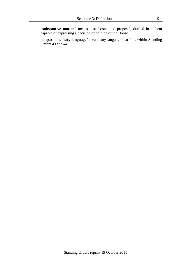"**substantive motion**" means a self-contained proposal, drafted in a form capable of expressing a decision or opinion of the House.

"**unparliamentary language**" means any language that falls within Standing Orders 43 and 44.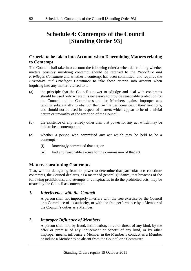# **Schedule 4: Contempts of the Council [Standing Order 93]**

# **Criteria to be taken into Account when Determining Matters relating to Contempt**

The Council shall take into account the following criteria when determining whether matters possibly involving contempt should be referred to the *Procedure and Privileges Committee* and whether a contempt has been committed, and requires the *Procedure and Privileges Committee* to take these criteria into account when inquiring into any matter referred to it -

- (a) the principle that the Council's power to adjudge and deal with contempts should be used only where it is necessary to provide reasonable protection for the Council and its Committees and for Members against improper acts tending substantially to obstruct them in the performance of their functions, and should not be used in respect of matters which appear to be of a trivial nature or unworthy of the attention of the Council;
- (b) the existence of any remedy other than that power for any act which may be held to be a contempt; and
- (c) whether a person who committed any act which may be held to be a contempt -
	- (i) knowingly committed that act; or
	- (ii) had any reasonable excuse for the commission of that act.

# **Matters constituting Contempts**

That, without derogating from its power to determine that particular acts constitute contempts, the Council declares, as a matter of general guidance, that breaches of the following prohibitions, and attempts or conspiracies to do the prohibited acts, may be treated by the Council as contempts.

# *1. Interference with the Council*

A person shall not improperly interfere with the free exercise by the Council or a Committee of its authority, or with the free performance by a Member of the Council's duties as a Member.

# *2. Improper Influence of Members*

A person shall not, by fraud, intimidation, force or threat of any kind, by the offer or promise of any inducement or benefit of any kind, or by other improper means, influence a Member in the Member's conduct as a Member or induce a Member to be absent from the Council or a Committee.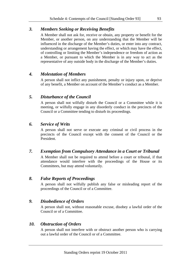# *3. Members Seeking or Receiving Benefits*

A Member shall not ask for, receive or obtain, any property or benefit for the Member, or another person, on any understanding that the Member will be influenced in the discharge of the Member's duties, or enter into any contract, understanding or arrangement having the effect, or which may have the effect, of controlling or limiting the Member's independence or freedom of action as a Member, or pursuant to which the Member is in any way to act as the representative of any outside body in the discharge of the Member's duties.

## *4. Molestation of Members*

A person shall not inflict any punishment, penalty or injury upon, or deprive of any benefit, a Member on account of the Member's conduct as a Member.

## *5. Disturbance of the Council*

A person shall not wilfully disturb the Council or a Committee while it is meeting, or wilfully engage in any disorderly conduct in the precincts of the Council or a Committee tending to disturb its proceedings.

# *6. Service of Writs*

A person shall not serve or execute any criminal or civil process in the precincts of the Council except with the consent of the Council or the President.

# *7. Exemption from Compulsory Attendance in a Court or Tribunal*

A Member shall not be required to attend before a court or tribunal, if that attendance would interfere with the proceedings of the House or its Committees, but may attend voluntarily.

# *8. False Reports of Proceedings*

A person shall not wilfully publish any false or misleading report of the proceedings of the Council or of a Committee.

# *9. Disobedience of Orders*

A person shall not, without reasonable excuse, disobey a lawful order of the Council or of a Committee.

# *10. Obstruction of Orders*

A person shall not interfere with or obstruct another person who is carrying out a lawful order of the Council or of a Committee.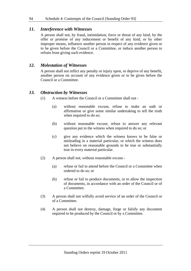### *11. Interference with Witnesses*

A person shall not, by fraud, intimidation, force or threat of any kind, by the offer or promise of any inducement or benefit of any kind, or by other improper means, influence another person in respect of any evidence given or to be given before the Council or a Committee, or induce another person to refrain from giving such evidence.

### *12. Molestation of Witnesses*

A person shall not inflict any penalty or injury upon, or deprive of any benefit, another person on account of any evidence given or to be given before the Council or a Committee.

### *13. Obstruction by Witnesses*

- (1) A witness before the Council or a Committee shall not
	- (a) without reasonable excuse, refuse to make an oath or affirmation or give some similar undertaking to tell the truth when required to do so;
	- (b) without reasonable excuse, refuse to answer any relevant question put to the witness when required to do so; or
	- (c) give any evidence which the witness knows to be false or misleading in a material particular, or which the witness does not believe on reasonable grounds to be true or substantially true in every material particular.
- (2) A person shall not, without reasonable excuse
	- (a) refuse or fail to attend before the Council or a Committee when ordered to do so; or
	- (b) refuse or fail to produce documents, or to allow the inspection of documents, in accordance with an order of the Council or of a Committee.
- (3) A person shall not wilfully avoid service of an order of the Council or of a Committee.
- (4) A person shall not destroy, damage, forge or falsify any document required to be produced by the Council or by a Committee.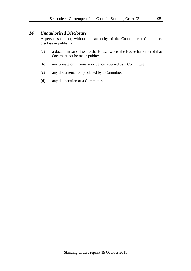### *14. Unauthorised Disclosure*

A person shall not, without the authority of the Council or a Committee, disclose or publish -

- (a) a document submitted to the House, where the House has ordered that document not be made public;
- (b) any private or *in camera* evidence received by a Committee;
- (c) any documentation produced by a Committee; or
- (d) any deliberation of a Committee.